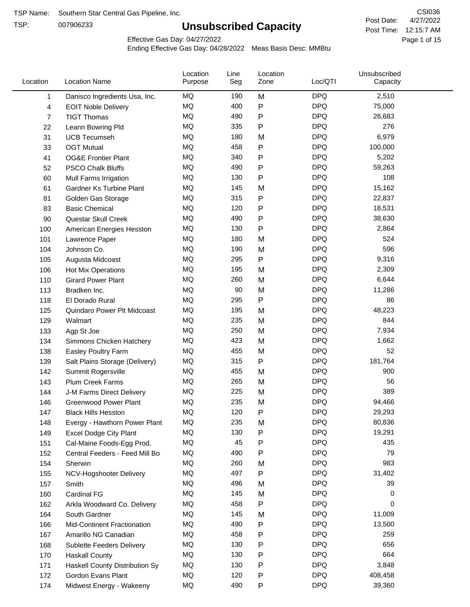TSP:

# **Unsubscribed Capacity**

4/27/2022 Page 1 of 15 Post Time: 12:15:7 AM CSI036 Post Date:

Effective Gas Day: 04/27/2022

| Location | <b>Location Name</b>               | Location<br>Purpose | Line<br>Seg | Location<br>Zone | Loc/QTI    | Unsubscribed<br>Capacity |  |
|----------|------------------------------------|---------------------|-------------|------------------|------------|--------------------------|--|
| 1        | Danisco Ingredients Usa, Inc.      | MQ                  | 190         | M                | <b>DPQ</b> | 2,510                    |  |
| 4        | <b>EOIT Noble Delivery</b>         | MQ                  | 400         | P                | <b>DPQ</b> | 75,000                   |  |
| 7        | <b>TIGT Thomas</b>                 | MQ                  | 490         | P                | <b>DPQ</b> | 26,683                   |  |
| 22       | Leann Bowring Pld                  | MQ                  | 335         | P                | <b>DPQ</b> | 276                      |  |
| 31       | <b>UCB Tecumseh</b>                | MQ                  | 180         | M                | <b>DPQ</b> | 6,979                    |  |
| 33       | <b>OGT Mutual</b>                  | MQ                  | 458         | P                | <b>DPQ</b> | 100,000                  |  |
| 41       | <b>OG&amp;E Frontier Plant</b>     | MQ                  | 340         | P                | <b>DPQ</b> | 5,202                    |  |
| 52       | <b>PSCO Chalk Bluffs</b>           | MQ                  | 490         | P                | <b>DPQ</b> | 59,263                   |  |
| 60       | Mull Farms Irrigation              | MQ                  | 130         | Ρ                | <b>DPQ</b> | 108                      |  |
| 61       | Gardner Ks Turbine Plant           | MQ                  | 145         | M                | <b>DPQ</b> | 15,162                   |  |
| 81       | Golden Gas Storage                 | MQ                  | 315         | P                | <b>DPQ</b> | 22,837                   |  |
| 83       | <b>Basic Chemical</b>              | MQ                  | 120         | P                | <b>DPQ</b> | 18,531                   |  |
| 90       | Questar Skull Creek                | MQ                  | 490         | P                | <b>DPQ</b> | 38,630                   |  |
| 100      | American Energies Hesston          | <b>MQ</b>           | 130         | P                | <b>DPQ</b> | 2,864                    |  |
| 101      | Lawrence Paper                     | MQ                  | 180         | M                | <b>DPQ</b> | 524                      |  |
| 104      | Johnson Co.                        | MQ                  | 190         | M                | <b>DPQ</b> | 596                      |  |
| 105      | Augusta Midcoast                   | MQ                  | 295         | P                | <b>DPQ</b> | 9,316                    |  |
| 106      | Hot Mix Operations                 | MQ                  | 195         | M                | <b>DPQ</b> | 2,309                    |  |
| 110      | <b>Girard Power Plant</b>          | MQ                  | 260         | M                | <b>DPQ</b> | 6,644                    |  |
| 113      | Bradken Inc.                       | <b>MQ</b>           | 90          | M                | <b>DPQ</b> | 11,286                   |  |
| 118      | El Dorado Rural                    | MQ                  | 295         | P                | <b>DPQ</b> | 86                       |  |
| 125      | Quindaro Power Plt Midcoast        | MQ                  | 195         | M                | <b>DPQ</b> | 48,223                   |  |
| 129      | Walmart                            | <b>MQ</b>           | 235         | M                | <b>DPQ</b> | 844                      |  |
| 133      | Agp St Joe                         | <b>MQ</b>           | 250         | M                | <b>DPQ</b> | 7,934                    |  |
| 134      | Simmons Chicken Hatchery           | MQ                  | 423         | M                | <b>DPQ</b> | 1,662                    |  |
| 138      | Easley Poultry Farm                | MQ                  | 455         | M                | <b>DPQ</b> | 52                       |  |
| 139      | Salt Plains Storage (Delivery)     | MQ                  | 315         | P                | <b>DPQ</b> | 181,764                  |  |
| 142      | Summit Rogersville                 | MQ                  | 455         | M                | <b>DPQ</b> | 900                      |  |
| 143      | <b>Plum Creek Farms</b>            | MQ                  | 265         | M                | <b>DPQ</b> | 56                       |  |
| 144      | J-M Farms Direct Delivery          | MQ                  | 225         | M                | <b>DPQ</b> | 389                      |  |
| 146      | <b>Greenwood Power Plant</b>       | <b>MQ</b>           | 235         | M                | <b>DPQ</b> | 94,466                   |  |
| 147      | <b>Black Hills Hesston</b>         | MQ                  | 120         | P                | <b>DPQ</b> | 29,293                   |  |
| 148      | Evergy - Hawthorn Power Plant      | MQ                  | 235         | M                | <b>DPQ</b> | 80,836                   |  |
| 149      | <b>Excel Dodge City Plant</b>      | MQ                  | 130         | Ρ                | <b>DPQ</b> | 19,291                   |  |
| 151      | Cal-Maine Foods-Egg Prod.          | MQ                  | 45          | Ρ                | <b>DPQ</b> | 435                      |  |
| 152      | Central Feeders - Feed Mill Bo     | MQ                  | 490         | Ρ                | <b>DPQ</b> | 79                       |  |
| 154      | Sherwin                            | MQ                  | 260         | M                | <b>DPQ</b> | 983                      |  |
| 155      | NCV-Hogshooter Delivery            | MQ                  | 497         | Ρ                | <b>DPQ</b> | 31,402                   |  |
| 157      | Smith                              | MQ                  | 496         | M                | <b>DPQ</b> | 39                       |  |
| 160      | <b>Cardinal FG</b>                 | MQ                  | 145         | M                | <b>DPQ</b> | 0                        |  |
| 162      | Arkla Woodward Co. Delivery        | MQ                  | 458         | Ρ                | <b>DPQ</b> | 0                        |  |
| 164      | South Gardner                      | MQ                  | 145         | M                | <b>DPQ</b> | 11,009                   |  |
| 166      | <b>Mid-Continent Fractionation</b> | MQ                  | 490         | Ρ                | <b>DPQ</b> | 13,500                   |  |
| 167      | Amarillo NG Canadian               | MQ                  | 458         | Ρ                | <b>DPQ</b> | 259                      |  |
| 168      | Sublette Feeders Delivery          | MQ                  | 130         | Ρ                | <b>DPQ</b> | 656                      |  |
| 170      | <b>Haskall County</b>              | MQ                  | 130         | Ρ                | <b>DPQ</b> | 664                      |  |
| 171      | Haskell County Distribution Sy     | MQ                  | 130         | P                | <b>DPQ</b> | 3,848                    |  |
| 172      | Gordon Evans Plant                 | MQ                  | 120         | Ρ                | <b>DPQ</b> | 408,458                  |  |
| 174      | Midwest Energy - Wakeeny           | MQ                  | 490         | P                | <b>DPQ</b> | 39,360                   |  |
|          |                                    |                     |             |                  |            |                          |  |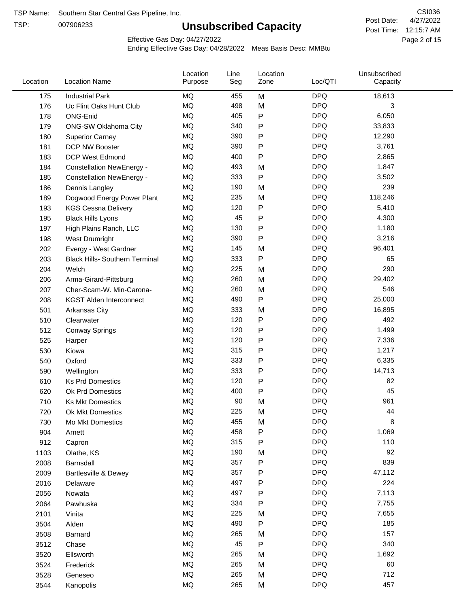TSP:

# **Unsubscribed Capacity**

4/27/2022 Page 2 of 15 Post Time: 12:15:7 AM CSI036 Post Date:

Effective Gas Day: 04/27/2022

| Location | <b>Location Name</b>                  | Location<br>Purpose | Line<br>Seg | Location<br>Zone | Loc/QTI    | Unsubscribed<br>Capacity |  |
|----------|---------------------------------------|---------------------|-------------|------------------|------------|--------------------------|--|
| 175      | <b>Industrial Park</b>                | <b>MQ</b>           | 455         | M                | <b>DPQ</b> | 18,613                   |  |
| 176      | Uc Flint Oaks Hunt Club               | <b>MQ</b>           | 498         | M                | <b>DPQ</b> | 3                        |  |
| 178      | <b>ONG-Enid</b>                       | MQ                  | 405         | P                | <b>DPQ</b> | 6,050                    |  |
| 179      | <b>ONG-SW Oklahoma City</b>           | <b>MQ</b>           | 340         | P                | <b>DPQ</b> | 33,833                   |  |
| 180      | <b>Superior Carney</b>                | <b>MQ</b>           | 390         | P                | <b>DPQ</b> | 12,290                   |  |
| 181      | DCP NW Booster                        | <b>MQ</b>           | 390         | P                | <b>DPQ</b> | 3,761                    |  |
| 183      | <b>DCP West Edmond</b>                | <b>MQ</b>           | 400         | $\mathsf{P}$     | <b>DPQ</b> | 2,865                    |  |
| 184      | <b>Constellation NewEnergy -</b>      | MQ                  | 493         | M                | <b>DPQ</b> | 1,847                    |  |
| 185      | <b>Constellation NewEnergy -</b>      | MQ                  | 333         | $\mathsf{P}$     | <b>DPQ</b> | 3,502                    |  |
| 186      | Dennis Langley                        | MQ                  | 190         | M                | <b>DPQ</b> | 239                      |  |
| 189      | Dogwood Energy Power Plant            | <b>MQ</b>           | 235         | M                | <b>DPQ</b> | 118,246                  |  |
| 193      | <b>KGS Cessna Delivery</b>            | MQ                  | 120         | P                | <b>DPQ</b> | 5,410                    |  |
| 195      | <b>Black Hills Lyons</b>              | <b>MQ</b>           | 45          | P                | <b>DPQ</b> | 4,300                    |  |
| 197      | High Plains Ranch, LLC                | <b>MQ</b>           | 130         | P                | <b>DPQ</b> | 1,180                    |  |
| 198      | West Drumright                        | <b>MQ</b>           | 390         | P                | <b>DPQ</b> | 3,216                    |  |
| 202      | Evergy - West Gardner                 | <b>MQ</b>           | 145         | M                | <b>DPQ</b> | 96,401                   |  |
| 203      | <b>Black Hills- Southern Terminal</b> | MQ                  | 333         | $\mathsf{P}$     | <b>DPQ</b> | 65                       |  |
| 204      | Welch                                 | <b>MQ</b>           | 225         | M                | <b>DPQ</b> | 290                      |  |
| 206      | Arma-Girard-Pittsburg                 | <b>MQ</b>           | 260         | M                | <b>DPQ</b> | 29,402                   |  |
| 207      | Cher-Scam-W. Min-Carona-              | MQ                  | 260         | M                | <b>DPQ</b> | 546                      |  |
| 208      | <b>KGST Alden Interconnect</b>        | <b>MQ</b>           | 490         | P                | <b>DPQ</b> | 25,000                   |  |
| 501      | Arkansas City                         | <b>MQ</b>           | 333         | M                | <b>DPQ</b> | 16,895                   |  |
| 510      | Clearwater                            | <b>MQ</b>           | 120         | P                | <b>DPQ</b> | 492                      |  |
| 512      | <b>Conway Springs</b>                 | <b>MQ</b>           | 120         | P                | <b>DPQ</b> | 1,499                    |  |
| 525      | Harper                                | MQ                  | 120         | $\mathsf{P}$     | <b>DPQ</b> | 7,336                    |  |
| 530      | Kiowa                                 | <b>MQ</b>           | 315         | P                | <b>DPQ</b> | 1,217                    |  |
| 540      | Oxford                                | <b>MQ</b>           | 333         | P                | <b>DPQ</b> | 6,335                    |  |
| 590      | Wellington                            | <b>MQ</b>           | 333         | P                | <b>DPQ</b> | 14,713                   |  |
| 610      | <b>Ks Prd Domestics</b>               | <b>MQ</b>           | 120         | P                | <b>DPQ</b> | 82                       |  |
| 620      | Ok Prd Domestics                      | <b>MQ</b>           | 400         | P                | <b>DPQ</b> | 45                       |  |
| 710      | <b>Ks Mkt Domestics</b>               | <b>MQ</b>           | 90          | M                | <b>DPQ</b> | 961                      |  |
| 720      | Ok Mkt Domestics                      | MQ                  | 225         | M                | <b>DPQ</b> | 44                       |  |
| 730      | Mo Mkt Domestics                      | MQ                  | 455         | M                | <b>DPQ</b> | 8                        |  |
| 904      | Arnett                                | MQ                  | 458         | ${\sf P}$        | <b>DPQ</b> | 1,069                    |  |
| 912      | Capron                                | <b>MQ</b>           | 315         | P                | <b>DPQ</b> | 110                      |  |
| 1103     | Olathe, KS                            | <b>MQ</b>           | 190         | M                | <b>DPQ</b> | 92                       |  |
| 2008     | Barnsdall                             | MQ                  | 357         | ${\sf P}$        | <b>DPQ</b> | 839                      |  |
| 2009     | <b>Bartlesville &amp; Dewey</b>       | <b>MQ</b>           | 357         | P                | <b>DPQ</b> | 47,112                   |  |
| 2016     | Delaware                              | MQ                  | 497         | P                | <b>DPQ</b> | 224                      |  |
| 2056     | Nowata                                | MQ                  | 497         | P                | <b>DPQ</b> | 7,113                    |  |
| 2064     | Pawhuska                              | MQ                  | 334         | P                | <b>DPQ</b> | 7,755                    |  |
| 2101     | Vinita                                | <b>MQ</b>           | 225         | M                | <b>DPQ</b> | 7,655                    |  |
| 3504     | Alden                                 | <b>MQ</b>           | 490         | P                | <b>DPQ</b> | 185                      |  |
| 3508     | Barnard                               | <b>MQ</b>           | 265         | M                | <b>DPQ</b> | 157                      |  |
| 3512     | Chase                                 | <b>MQ</b>           | 45          | P                | <b>DPQ</b> | 340                      |  |
| 3520     | Ellsworth                             | <b>MQ</b>           | 265         | M                | <b>DPQ</b> | 1,692                    |  |
| 3524     | Frederick                             | <b>MQ</b>           | 265         | M                | <b>DPQ</b> | 60                       |  |
| 3528     | Geneseo                               | <b>MQ</b>           | 265         | M                | <b>DPQ</b> | 712                      |  |
| 3544     | Kanopolis                             | MQ                  | 265         | M                | <b>DPQ</b> | 457                      |  |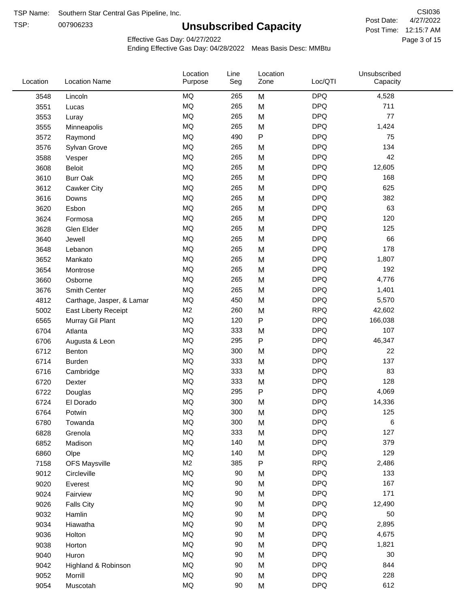TSP: 

# **Unsubscribed Capacity**

4/27/2022 Page 3 of 15 Post Time: 12:15:7 AM CSI036 Post Date:

Unsubscribed

Effective Gas Day: 04/27/2022

Location

Ending Effective Gas Day: 04/28/2022 Meas Basis Desc: MMBtu

Line

Location

| Location | <b>Location Name</b>      | Purpose        | Seg | Zone | Loc/QTI    | Capacity |  |
|----------|---------------------------|----------------|-----|------|------------|----------|--|
| 3548     | Lincoln                   | <b>MQ</b>      | 265 | M    | <b>DPQ</b> | 4,528    |  |
| 3551     | Lucas                     | <b>MQ</b>      | 265 | M    | <b>DPQ</b> | 711      |  |
| 3553     | Luray                     | <b>MQ</b>      | 265 | M    | <b>DPQ</b> | 77       |  |
| 3555     | Minneapolis               | <b>MQ</b>      | 265 | M    | <b>DPQ</b> | 1,424    |  |
| 3572     | Raymond                   | <b>MQ</b>      | 490 | P    | <b>DPQ</b> | 75       |  |
| 3576     | Sylvan Grove              | MQ             | 265 | M    | <b>DPQ</b> | 134      |  |
| 3588     | Vesper                    | MQ             | 265 | M    | <b>DPQ</b> | 42       |  |
| 3608     | <b>Beloit</b>             | MQ             | 265 | M    | <b>DPQ</b> | 12,605   |  |
| 3610     | <b>Burr Oak</b>           | MQ             | 265 | M    | <b>DPQ</b> | 168      |  |
| 3612     | <b>Cawker City</b>        | MQ             | 265 | M    | <b>DPQ</b> | 625      |  |
| 3616     | Downs                     | <b>MQ</b>      | 265 | M    | <b>DPQ</b> | 382      |  |
| 3620     | Esbon                     | MQ             | 265 | M    | <b>DPQ</b> | 63       |  |
| 3624     | Formosa                   | MQ             | 265 | M    | <b>DPQ</b> | 120      |  |
| 3628     | Glen Elder                | MQ             | 265 | M    | <b>DPQ</b> | 125      |  |
| 3640     | Jewell                    | MQ             | 265 | M    | <b>DPQ</b> | 66       |  |
| 3648     | Lebanon                   | <b>MQ</b>      | 265 | M    | <b>DPQ</b> | 178      |  |
| 3652     | Mankato                   | MQ             | 265 | M    | <b>DPQ</b> | 1,807    |  |
| 3654     | Montrose                  | MQ             | 265 | M    | <b>DPQ</b> | 192      |  |
| 3660     | Osborne                   | MQ             | 265 | M    | <b>DPQ</b> | 4,776    |  |
| 3676     | Smith Center              | <b>MQ</b>      | 265 | M    | <b>DPQ</b> | 1,401    |  |
| 4812     | Carthage, Jasper, & Lamar | <b>MQ</b>      | 450 | M    | <b>DPQ</b> | 5,570    |  |
| 5002     | East Liberty Receipt      | M <sub>2</sub> | 260 | M    | <b>RPQ</b> | 42,602   |  |
| 6565     | Murray Gil Plant          | <b>MQ</b>      | 120 | P    | <b>DPQ</b> | 166,038  |  |
| 6704     | Atlanta                   | MQ             | 333 | M    | <b>DPQ</b> | 107      |  |
| 6706     | Augusta & Leon            | <b>MQ</b>      | 295 | P    | <b>DPQ</b> | 46,347   |  |
| 6712     | Benton                    | MQ             | 300 | M    | <b>DPQ</b> | 22       |  |
| 6714     | <b>Burden</b>             | MQ             | 333 | M    | <b>DPQ</b> | 137      |  |
| 6716     | Cambridge                 | MQ             | 333 | M    | <b>DPQ</b> | 83       |  |
| 6720     | Dexter                    | <b>MQ</b>      | 333 | M    | <b>DPQ</b> | 128      |  |
| 6722     | Douglas                   | MQ             | 295 | P    | <b>DPQ</b> | 4,069    |  |
| 6724     | El Dorado                 | MQ             | 300 | M    | <b>DPQ</b> | 14,336   |  |
| 6764     | Potwin                    | <b>MQ</b>      | 300 | M    | <b>DPQ</b> | 125      |  |
| 6780     | Towanda                   | MQ             | 300 | M    | <b>DPQ</b> | 6        |  |
| 6828     | Grenola                   | MQ             | 333 | M    | <b>DPQ</b> | 127      |  |
| 6852     | Madison                   | <b>MQ</b>      | 140 | M    | <b>DPQ</b> | 379      |  |
| 6860     | Olpe                      | MQ             | 140 | M    | <b>DPQ</b> | 129      |  |
| 7158     | <b>OFS Maysville</b>      | M <sub>2</sub> | 385 | P    | <b>RPQ</b> | 2,486    |  |
| 9012     | Circleville               | MQ             | 90  | M    | <b>DPQ</b> | 133      |  |
| 9020     | Everest                   | <b>MQ</b>      | 90  | M    | <b>DPQ</b> | 167      |  |
| 9024     | Fairview                  | MQ             | 90  | M    | <b>DPQ</b> | 171      |  |
| 9026     | <b>Falls City</b>         | MQ             | 90  | M    | <b>DPQ</b> | 12,490   |  |
| 9032     | Hamlin                    | MQ             | 90  | M    | <b>DPQ</b> | 50       |  |
| 9034     | Hiawatha                  | MQ             | 90  | M    | <b>DPQ</b> | 2,895    |  |
| 9036     | Holton                    | <b>MQ</b>      | 90  | M    | <b>DPQ</b> | 4,675    |  |
| 9038     | Horton                    | MQ             | 90  | M    | <b>DPQ</b> | 1,821    |  |
| 9040     | Huron                     | MQ             | 90  | M    | <b>DPQ</b> | 30       |  |
| 9042     | Highland & Robinson       | MQ             | 90  | M    | <b>DPQ</b> | 844      |  |
| 9052     | Morrill                   | <b>MQ</b>      | 90  | M    | <b>DPQ</b> | 228      |  |
| 9054     | Muscotah                  | MQ             | 90  | M    | <b>DPQ</b> | 612      |  |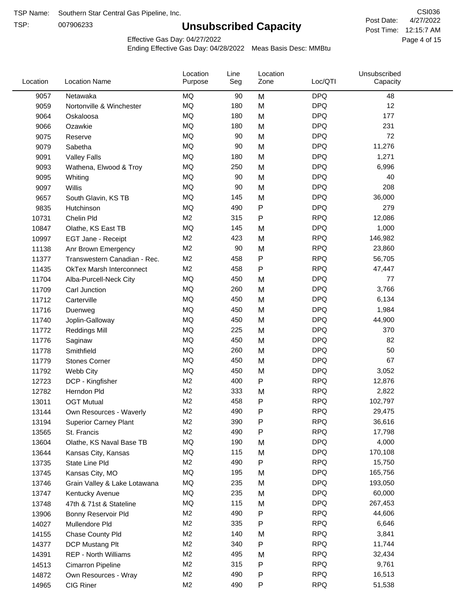TSP:

# **Unsubscribed Capacity**

4/27/2022 Page 4 of 15 Post Time: 12:15:7 AM CSI036 Post Date:

Effective Gas Day: 04/27/2022

| Location | <b>Location Name</b>            | Location<br>Purpose | Line<br>Seg | Location<br>Zone | Loc/QTI    | Unsubscribed<br>Capacity |  |
|----------|---------------------------------|---------------------|-------------|------------------|------------|--------------------------|--|
| 9057     | Netawaka                        | MQ                  | 90          | M                | <b>DPQ</b> | 48                       |  |
| 9059     | Nortonville & Winchester        | MQ                  | 180         | M                | <b>DPQ</b> | 12                       |  |
| 9064     | Oskaloosa                       | MQ                  | 180         | M                | <b>DPQ</b> | 177                      |  |
| 9066     | Ozawkie                         | MQ                  | 180         | M                | <b>DPQ</b> | 231                      |  |
| 9075     | Reserve                         | <b>MQ</b>           | 90          | M                | <b>DPQ</b> | 72                       |  |
| 9079     | Sabetha                         | <b>MQ</b>           | 90          | M                | <b>DPQ</b> | 11,276                   |  |
| 9091     | <b>Valley Falls</b>             | <b>MQ</b>           | 180         | M                | <b>DPQ</b> | 1,271                    |  |
| 9093     | Wathena, Elwood & Troy          | <b>MQ</b>           | 250         | M                | <b>DPQ</b> | 6,996                    |  |
| 9095     | Whiting                         | MQ                  | 90          | M                | <b>DPQ</b> | 40                       |  |
| 9097     | Willis                          | <b>MQ</b>           | 90          | M                | <b>DPQ</b> | 208                      |  |
| 9657     | South Glavin, KS TB             | MQ                  | 145         | M                | <b>DPQ</b> | 36,000                   |  |
| 9835     | Hutchinson                      | MQ                  | 490         | P                | <b>DPQ</b> | 279                      |  |
| 10731    | Chelin Pld                      | M <sub>2</sub>      | 315         | P                | <b>RPQ</b> | 12,086                   |  |
| 10847    | Olathe, KS East TB              | <b>MQ</b>           | 145         | M                | <b>DPQ</b> | 1,000                    |  |
| 10997    | EGT Jane - Receipt              | M <sub>2</sub>      | 423         | M                | <b>RPQ</b> | 146,982                  |  |
| 11138    | Anr Brown Emergency             | M <sub>2</sub>      | 90          | M                | <b>RPQ</b> | 23,860                   |  |
| 11377    | Transwestern Canadian - Rec.    | M <sub>2</sub>      | 458         | P                | <b>RPQ</b> | 56,705                   |  |
| 11435    | <b>OkTex Marsh Interconnect</b> | M <sub>2</sub>      | 458         | P                | <b>RPQ</b> | 47,447                   |  |
| 11704    | Alba-Purcell-Neck City          | MQ                  | 450         | M                | <b>DPQ</b> | 77                       |  |
| 11709    | Carl Junction                   | MQ                  | 260         | M                | <b>DPQ</b> | 3,766                    |  |
| 11712    | Carterville                     | MQ                  | 450         | M                | <b>DPQ</b> | 6,134                    |  |
| 11716    | Duenweg                         | MQ                  | 450         | M                | <b>DPQ</b> | 1,984                    |  |
| 11740    | Joplin-Galloway                 | <b>MQ</b>           | 450         | M                | <b>DPQ</b> | 44,900                   |  |
| 11772    | <b>Reddings Mill</b>            | <b>MQ</b>           | 225         | M                | <b>DPQ</b> | 370                      |  |
| 11776    | Saginaw                         | <b>MQ</b>           | 450         | M                | <b>DPQ</b> | 82                       |  |
| 11778    | Smithfield                      | MQ                  | 260         | M                | <b>DPQ</b> | 50                       |  |
| 11779    | <b>Stones Corner</b>            | <b>MQ</b>           | 450         | M                | <b>DPQ</b> | 67                       |  |
| 11792    | Webb City                       | <b>MQ</b>           | 450         | M                | <b>DPQ</b> | 3,052                    |  |
| 12723    | DCP - Kingfisher                | M <sub>2</sub>      | 400         | P                | <b>RPQ</b> | 12,876                   |  |
| 12782    | Herndon Pld                     | M <sub>2</sub>      | 333         | M                | <b>RPQ</b> | 2,822                    |  |
| 13011    | <b>OGT Mutual</b>               | M <sub>2</sub>      | 458         | P                | <b>RPQ</b> | 102,797                  |  |
| 13144    | Own Resources - Waverly         | M <sub>2</sub>      | 490         | P                | <b>RPQ</b> | 29,475                   |  |
| 13194    | <b>Superior Carney Plant</b>    | M <sub>2</sub>      | 390         | P                | <b>RPQ</b> | 36,616                   |  |
| 13565    | St. Francis                     | M <sub>2</sub>      | 490         | Ρ                | <b>RPQ</b> | 17,798                   |  |
| 13604    | Olathe, KS Naval Base TB        | MQ                  | 190         | M                | <b>DPQ</b> | 4,000                    |  |
| 13644    | Kansas City, Kansas             | MQ                  | 115         | M                | <b>DPQ</b> | 170,108                  |  |
| 13735    | State Line Pld                  | M <sub>2</sub>      | 490         | P                | <b>RPQ</b> | 15,750                   |  |
| 13745    | Kansas City, MO                 | MQ                  | 195         | M                | <b>DPQ</b> | 165,756                  |  |
| 13746    | Grain Valley & Lake Lotawana    | MQ                  | 235         | M                | <b>DPQ</b> | 193,050                  |  |
| 13747    | Kentucky Avenue                 | MQ                  | 235         | M                | <b>DPQ</b> | 60,000                   |  |
| 13748    | 47th & 71st & Stateline         | MQ                  | 115         | M                | <b>DPQ</b> | 267,453                  |  |
| 13906    | Bonny Reservoir Pld             | M <sub>2</sub>      | 490         | P                | <b>RPQ</b> | 44,606                   |  |
| 14027    | Mullendore Pld                  | M <sub>2</sub>      | 335         | Ρ                | <b>RPQ</b> | 6,646                    |  |
| 14155    | Chase County Pld                | M <sub>2</sub>      | 140         | M                | <b>RPQ</b> | 3,841                    |  |
| 14377    | DCP Mustang Plt                 | M <sub>2</sub>      | 340         | Ρ                | <b>RPQ</b> | 11,744                   |  |
| 14391    | <b>REP - North Williams</b>     | M <sub>2</sub>      | 495         | M                | <b>RPQ</b> | 32,434                   |  |
| 14513    | Cimarron Pipeline               | M <sub>2</sub>      | 315         | P                | <b>RPQ</b> | 9,761                    |  |
| 14872    | Own Resources - Wray            | M <sub>2</sub>      | 490         | P                | <b>RPQ</b> | 16,513                   |  |
| 14965    | CIG Riner                       | M <sub>2</sub>      | 490         | P                | <b>RPQ</b> | 51,538                   |  |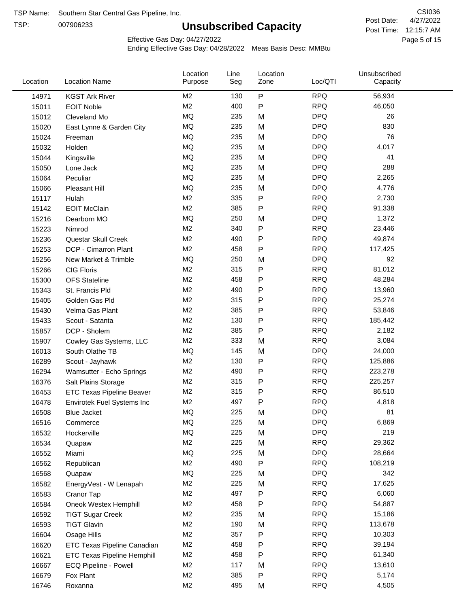TSP:

# **Unsubscribed Capacity**

4/27/2022 Page 5 of 15 Post Time: 12:15:7 AM CSI036 Post Date:

Effective Gas Day: 04/27/2022

| Location | <b>Location Name</b>               | Location<br>Purpose | Line<br>Seg | Location<br>Zone | Loc/QTI    | Unsubscribed<br>Capacity |  |
|----------|------------------------------------|---------------------|-------------|------------------|------------|--------------------------|--|
| 14971    | <b>KGST Ark River</b>              | M2                  | 130         | $\mathsf{P}$     | <b>RPQ</b> | 56,934                   |  |
| 15011    | <b>EOIT Noble</b>                  | M <sub>2</sub>      | 400         | ${\sf P}$        | <b>RPQ</b> | 46,050                   |  |
| 15012    | Cleveland Mo                       | <b>MQ</b>           | 235         | M                | <b>DPQ</b> | 26                       |  |
| 15020    | East Lynne & Garden City           | MQ                  | 235         | M                | <b>DPQ</b> | 830                      |  |
| 15024    | Freeman                            | <b>MQ</b>           | 235         | M                | <b>DPQ</b> | 76                       |  |
| 15032    | Holden                             | <b>MQ</b>           | 235         | M                | <b>DPQ</b> | 4,017                    |  |
| 15044    | Kingsville                         | MQ                  | 235         | M                | <b>DPQ</b> | 41                       |  |
| 15050    | Lone Jack                          | MQ                  | 235         | M                | <b>DPQ</b> | 288                      |  |
| 15064    | Peculiar                           | <b>MQ</b>           | 235         | M                | <b>DPQ</b> | 2,265                    |  |
| 15066    | Pleasant Hill                      | MQ                  | 235         | M                | <b>DPQ</b> | 4,776                    |  |
| 15117    | Hulah                              | M <sub>2</sub>      | 335         | P                | <b>RPQ</b> | 2,730                    |  |
| 15142    | <b>EOIT McClain</b>                | M <sub>2</sub>      | 385         | P                | <b>RPQ</b> | 91,338                   |  |
| 15216    | Dearborn MO                        | <b>MQ</b>           | 250         | M                | <b>DPQ</b> | 1,372                    |  |
| 15223    | Nimrod                             | M <sub>2</sub>      | 340         | ${\sf P}$        | <b>RPQ</b> | 23,446                   |  |
| 15236    | Questar Skull Creek                | M <sub>2</sub>      | 490         | P                | <b>RPQ</b> | 49,874                   |  |
| 15253    | DCP - Cimarron Plant               | M <sub>2</sub>      | 458         | ${\sf P}$        | <b>RPQ</b> | 117,425                  |  |
| 15256    | New Market & Trimble               | <b>MQ</b>           | 250         | M                | <b>DPQ</b> | 92                       |  |
| 15266    | <b>CIG Floris</b>                  | M <sub>2</sub>      | 315         | P                | <b>RPQ</b> | 81,012                   |  |
| 15300    | <b>OFS</b> Stateline               | M <sub>2</sub>      | 458         | ${\sf P}$        | <b>RPQ</b> | 48,284                   |  |
| 15343    | St. Francis Pld                    | M <sub>2</sub>      | 490         | P                | <b>RPQ</b> | 13,960                   |  |
| 15405    | Golden Gas Pld                     | M <sub>2</sub>      | 315         | P                | <b>RPQ</b> | 25,274                   |  |
| 15430    | Velma Gas Plant                    | M <sub>2</sub>      | 385         | P                | <b>RPQ</b> | 53,846                   |  |
| 15433    | Scout - Satanta                    | M <sub>2</sub>      | 130         | P                | <b>RPQ</b> | 185,442                  |  |
| 15857    | DCP - Sholem                       | M <sub>2</sub>      | 385         | P                | <b>RPQ</b> | 2,182                    |  |
| 15907    | Cowley Gas Systems, LLC            | M <sub>2</sub>      | 333         | M                | <b>RPQ</b> | 3,084                    |  |
| 16013    | South Olathe TB                    | <b>MQ</b>           | 145         | M                | <b>DPQ</b> | 24,000                   |  |
| 16289    | Scout - Jayhawk                    | M <sub>2</sub>      | 130         | P                | <b>RPQ</b> | 125,886                  |  |
| 16294    | Wamsutter - Echo Springs           | M <sub>2</sub>      | 490         | P                | <b>RPQ</b> | 223,278                  |  |
| 16376    | Salt Plains Storage                | M <sub>2</sub>      | 315         | P                | <b>RPQ</b> | 225,257                  |  |
| 16453    | <b>ETC Texas Pipeline Beaver</b>   | M <sub>2</sub>      | 315         | P                | <b>RPQ</b> | 86,510                   |  |
| 16478    | Envirotek Fuel Systems Inc         | M <sub>2</sub>      | 497         | P                | <b>RPQ</b> | 4,818                    |  |
| 16508    | Blue Jacket                        | <b>MQ</b>           | 225         | M                | <b>DPQ</b> | 81                       |  |
| 16516    | Commerce                           | MQ                  | 225         | M                | <b>DPQ</b> | 6,869                    |  |
| 16532    | Hockerville                        | $\sf{MQ}$           | 225         | M                | <b>DPQ</b> | 219                      |  |
| 16534    | Quapaw                             | M <sub>2</sub>      | 225         | M                | <b>RPQ</b> | 29,362                   |  |
| 16552    | Miami                              | MQ                  | 225         | M                | <b>DPQ</b> | 28,664                   |  |
| 16562    | Republican                         | M2                  | 490         | P                | <b>RPQ</b> | 108,219                  |  |
| 16568    | Quapaw                             | MQ                  | 225         | M                | <b>DPQ</b> | 342                      |  |
| 16582    | EnergyVest - W Lenapah             | M2                  | 225         | M                | <b>RPQ</b> | 17,625                   |  |
| 16583    | Cranor Tap                         | M2                  | 497         | P                | <b>RPQ</b> | 6,060                    |  |
| 16584    | Oneok Westex Hemphill              | M2                  | 458         | Ρ                | <b>RPQ</b> | 54,887                   |  |
| 16592    | <b>TIGT Sugar Creek</b>            | M2                  | 235         | M                | <b>RPQ</b> | 15,186                   |  |
| 16593    | <b>TIGT Glavin</b>                 | M <sub>2</sub>      | 190         | M                | <b>RPQ</b> | 113,678                  |  |
| 16604    | Osage Hills                        | M <sub>2</sub>      | 357         | P                | <b>RPQ</b> | 10,303                   |  |
| 16620    | ETC Texas Pipeline Canadian        | M <sub>2</sub>      | 458         | P                | <b>RPQ</b> | 39,194                   |  |
| 16621    | <b>ETC Texas Pipeline Hemphill</b> | M <sub>2</sub>      | 458         | Ρ                | <b>RPQ</b> | 61,340                   |  |
| 16667    | ECQ Pipeline - Powell              | M2                  | 117         | M                | <b>RPQ</b> | 13,610                   |  |
| 16679    | Fox Plant                          | M <sub>2</sub>      | 385         | P                | <b>RPQ</b> | 5,174                    |  |
| 16746    | Roxanna                            | M <sub>2</sub>      | 495         | M                | <b>RPQ</b> | 4,505                    |  |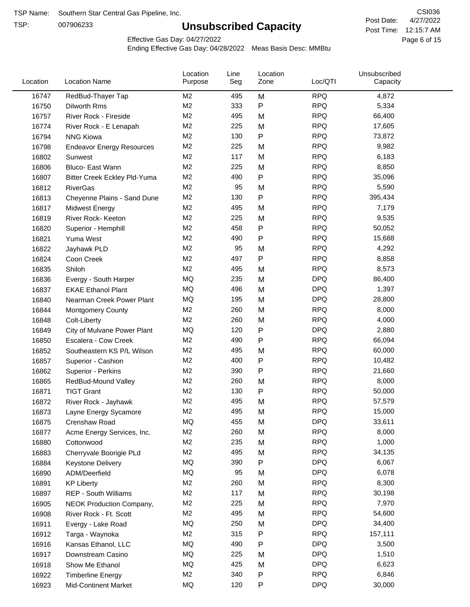TSP:

# **Unsubscribed Capacity**

4/27/2022 Page 6 of 15 Post Time: 12:15:7 AM CSI036 Post Date:

Effective Gas Day: 04/27/2022

| Location | <b>Location Name</b>                | Location<br>Purpose | Line<br>Seg | Location<br>Zone | Loc/QTI    | Unsubscribed<br>Capacity |  |
|----------|-------------------------------------|---------------------|-------------|------------------|------------|--------------------------|--|
| 16747    | RedBud-Thayer Tap                   | M2                  | 495         | M                | <b>RPQ</b> | 4,872                    |  |
| 16750    | Dilworth Rms                        | M <sub>2</sub>      | 333         | P                | <b>RPQ</b> | 5,334                    |  |
| 16757    | River Rock - Fireside               | M <sub>2</sub>      | 495         | M                | <b>RPQ</b> | 66,400                   |  |
| 16774    | River Rock - E Lenapah              | M <sub>2</sub>      | 225         | M                | <b>RPQ</b> | 17,605                   |  |
| 16794    | <b>NNG Kiowa</b>                    | M <sub>2</sub>      | 130         | P                | <b>RPQ</b> | 73,872                   |  |
| 16798    | <b>Endeavor Energy Resources</b>    | M <sub>2</sub>      | 225         | M                | <b>RPQ</b> | 9,982                    |  |
| 16802    | Sunwest                             | M <sub>2</sub>      | 117         | M                | <b>RPQ</b> | 6,183                    |  |
| 16806    | Bluco- East Wann                    | M <sub>2</sub>      | 225         | M                | <b>RPQ</b> | 8,850                    |  |
| 16807    | <b>Bitter Creek Eckley Pld-Yuma</b> | M <sub>2</sub>      | 490         | P                | <b>RPQ</b> | 35,096                   |  |
| 16812    | <b>RiverGas</b>                     | M <sub>2</sub>      | 95          | M                | <b>RPQ</b> | 5,590                    |  |
| 16813    | Cheyenne Plains - Sand Dune         | M <sub>2</sub>      | 130         | P                | <b>RPQ</b> | 395,434                  |  |
| 16817    | <b>Midwest Energy</b>               | M <sub>2</sub>      | 495         | M                | <b>RPQ</b> | 7,179                    |  |
| 16819    | River Rock- Keeton                  | M <sub>2</sub>      | 225         | M                | <b>RPQ</b> | 9,535                    |  |
| 16820    | Superior - Hemphill                 | M <sub>2</sub>      | 458         | Ρ                | <b>RPQ</b> | 50,052                   |  |
| 16821    | Yuma West                           | M <sub>2</sub>      | 490         | Ρ                | <b>RPQ</b> | 15,688                   |  |
| 16822    | Jayhawk PLD                         | M <sub>2</sub>      | 95          | M                | <b>RPQ</b> | 4,292                    |  |
| 16824    | Coon Creek                          | M <sub>2</sub>      | 497         | P                | <b>RPQ</b> | 8,858                    |  |
| 16835    | Shiloh                              | M <sub>2</sub>      | 495         | M                | <b>RPQ</b> | 8,573                    |  |
| 16836    | Evergy - South Harper               | MQ                  | 235         | M                | <b>DPQ</b> | 86,400                   |  |
| 16837    | <b>EKAE Ethanol Plant</b>           | MQ                  | 496         | M                | <b>DPQ</b> | 1,397                    |  |
| 16840    | Nearman Creek Power Plant           | MQ                  | 195         | M                | <b>DPQ</b> | 28,800                   |  |
| 16844    | <b>Montgomery County</b>            | M <sub>2</sub>      | 260         | M                | <b>RPQ</b> | 8,000                    |  |
| 16848    | Colt-Liberty                        | M <sub>2</sub>      | 260         | M                | <b>RPQ</b> | 4,000                    |  |
| 16849    | City of Mulvane Power Plant         | MQ                  | 120         | P                | <b>DPQ</b> | 2,880                    |  |
| 16850    | Escalera - Cow Creek                | M <sub>2</sub>      | 490         | Ρ                | <b>RPQ</b> | 66,094                   |  |
| 16852    | Southeastern KS P/L Wilson          | M <sub>2</sub>      | 495         | M                | <b>RPQ</b> | 60,000                   |  |
| 16857    | Superior - Cashion                  | M <sub>2</sub>      | 400         | Ρ                | <b>RPQ</b> | 10,482                   |  |
| 16862    | Superior - Perkins                  | M <sub>2</sub>      | 390         | Ρ                | <b>RPQ</b> | 21,660                   |  |
| 16865    | RedBud-Mound Valley                 | M <sub>2</sub>      | 260         | M                | <b>RPQ</b> | 8,000                    |  |
| 16871    | <b>TIGT Grant</b>                   | M <sub>2</sub>      | 130         | Ρ                | <b>RPQ</b> | 50,000                   |  |
| 16872    | River Rock - Jayhawk                | M <sub>2</sub>      | 495         | M                | <b>RPQ</b> | 57,579                   |  |
| 16873    | Layne Energy Sycamore               | M <sub>2</sub>      | 495         | Μ                | <b>RPQ</b> | 15,000                   |  |
| 16875    | Crenshaw Road                       | MQ                  | 455         | M                | <b>DPQ</b> | 33,611                   |  |
| 16877    | Acme Energy Services, Inc.          | M <sub>2</sub>      | 260         | M                | <b>RPQ</b> | 8,000                    |  |
| 16880    | Cottonwood                          | M <sub>2</sub>      | 235         | M                | <b>RPQ</b> | 1,000                    |  |
| 16883    | Cherryvale Boorigie PLd             | M <sub>2</sub>      | 495         | M                | <b>RPQ</b> | 34,135                   |  |
| 16884    | Keystone Delivery                   | MQ                  | 390         | Ρ                | <b>DPQ</b> | 6,067                    |  |
| 16890    | ADM/Deerfield                       | MQ                  | 95          | M                | <b>DPQ</b> | 6,078                    |  |
| 16891    | <b>KP Liberty</b>                   | M <sub>2</sub>      | 260         | M                | <b>RPQ</b> | 8,300                    |  |
| 16897    | REP - South Williams                | M <sub>2</sub>      | 117         | M                | <b>RPQ</b> | 30,198                   |  |
| 16905    | NEOK Production Company,            | M <sub>2</sub>      | 225         | M                | <b>RPQ</b> | 7,970                    |  |
| 16908    | River Rock - Ft. Scott              | M <sub>2</sub>      | 495         | M                | <b>RPQ</b> | 54,600                   |  |
| 16911    | Evergy - Lake Road                  | MQ                  | 250         | M                | <b>DPQ</b> | 34,400                   |  |
| 16912    | Targa - Waynoka                     | M <sub>2</sub>      | 315         | Ρ                | <b>RPQ</b> | 157,111                  |  |
| 16916    | Kansas Ethanol, LLC                 | MQ                  | 490         | P                | <b>DPQ</b> | 3,500                    |  |
| 16917    | Downstream Casino                   | MQ                  | 225         | M                | <b>DPQ</b> | 1,510                    |  |
| 16918    | Show Me Ethanol                     | MQ                  | 425         | M                | <b>DPQ</b> | 6,623                    |  |
| 16922    | <b>Timberline Energy</b>            | M <sub>2</sub>      | 340         | Ρ                | <b>RPQ</b> | 6,846                    |  |
| 16923    | <b>Mid-Continent Market</b>         | MQ                  | 120         | P                | <b>DPQ</b> | 30,000                   |  |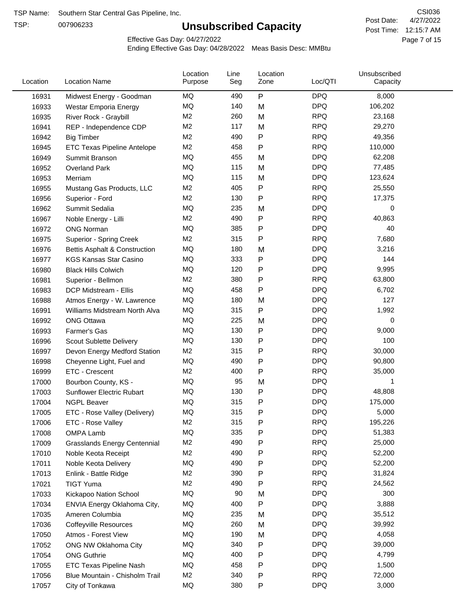TSP:

# **Unsubscribed Capacity**

4/27/2022 Page 7 of 15 Post Time: 12:15:7 AM CSI036 Post Date:

Effective Gas Day: 04/27/2022

| Location | <b>Location Name</b>                | Location<br>Purpose | Line<br>Seg | Location<br>Zone | Loc/QTI    | Unsubscribed<br>Capacity |  |
|----------|-------------------------------------|---------------------|-------------|------------------|------------|--------------------------|--|
| 16931    | Midwest Energy - Goodman            | MQ                  | 490         | P                | <b>DPQ</b> | 8,000                    |  |
| 16933    | Westar Emporia Energy               | MQ                  | 140         | M                | <b>DPQ</b> | 106,202                  |  |
| 16935    | River Rock - Graybill               | M <sub>2</sub>      | 260         | M                | <b>RPQ</b> | 23,168                   |  |
| 16941    | REP - Independence CDP              | M2                  | 117         | M                | <b>RPQ</b> | 29,270                   |  |
| 16942    | <b>Big Timber</b>                   | M2                  | 490         | Ρ                | <b>RPQ</b> | 49,356                   |  |
| 16945    | <b>ETC Texas Pipeline Antelope</b>  | M2                  | 458         | P                | <b>RPQ</b> | 110,000                  |  |
| 16949    | Summit Branson                      | MQ                  | 455         | M                | <b>DPQ</b> | 62,208                   |  |
| 16952    | <b>Overland Park</b>                | MQ                  | 115         | M                | <b>DPQ</b> | 77,485                   |  |
| 16953    | Merriam                             | MQ                  | 115         | M                | <b>DPQ</b> | 123,624                  |  |
| 16955    | Mustang Gas Products, LLC           | M <sub>2</sub>      | 405         | Ρ                | <b>RPQ</b> | 25,550                   |  |
| 16956    | Superior - Ford                     | M <sub>2</sub>      | 130         | P                | <b>RPQ</b> | 17,375                   |  |
| 16962    | Summit Sedalia                      | MQ                  | 235         | M                | <b>DPQ</b> | 0                        |  |
| 16967    | Noble Energy - Lilli                | M2                  | 490         | P                | <b>RPQ</b> | 40,863                   |  |
| 16972    | <b>ONG Norman</b>                   | MQ                  | 385         | Ρ                | <b>DPQ</b> | 40                       |  |
| 16975    | Superior - Spring Creek             | M <sub>2</sub>      | 315         | Ρ                | <b>RPQ</b> | 7,680                    |  |
| 16976    | Bettis Asphalt & Construction       | MQ                  | 180         | M                | <b>DPQ</b> | 3,216                    |  |
| 16977    | <b>KGS Kansas Star Casino</b>       | MQ                  | 333         | Ρ                | <b>DPQ</b> | 144                      |  |
| 16980    | <b>Black Hills Colwich</b>          | MQ                  | 120         | Ρ                | <b>DPQ</b> | 9,995                    |  |
| 16981    | Superior - Bellmon                  | M <sub>2</sub>      | 380         | Ρ                | <b>RPQ</b> | 63,800                   |  |
| 16983    | DCP Midstream - Ellis               | MQ                  | 458         | P                | <b>DPQ</b> | 6,702                    |  |
| 16988    | Atmos Energy - W. Lawrence          | MQ                  | 180         | M                | <b>DPQ</b> | 127                      |  |
| 16991    | Williams Midstream North Alva       | <b>MQ</b>           | 315         | Ρ                | <b>DPQ</b> | 1,992                    |  |
| 16992    | <b>ONG Ottawa</b>                   | MQ                  | 225         | M                | <b>DPQ</b> | 0                        |  |
| 16993    | Farmer's Gas                        | MQ                  | 130         | Ρ                | <b>DPQ</b> | 9,000                    |  |
| 16996    | Scout Sublette Delivery             | MQ                  | 130         | Ρ                | <b>DPQ</b> | 100                      |  |
| 16997    | Devon Energy Medford Station        | M <sub>2</sub>      | 315         | Ρ                | <b>RPQ</b> | 30,000                   |  |
| 16998    | Cheyenne Light, Fuel and            | MQ                  | 490         | P                | <b>DPQ</b> | 90,800                   |  |
| 16999    | ETC - Crescent                      | M2                  | 400         | P                | <b>RPQ</b> | 35,000                   |  |
| 17000    | Bourbon County, KS -                | MQ                  | 95          | M                | <b>DPQ</b> | 1                        |  |
| 17003    | Sunflower Electric Rubart           | MQ                  | 130         | Ρ                | <b>DPQ</b> | 48,808                   |  |
| 17004    | <b>NGPL Beaver</b>                  | MQ                  | 315         | Ρ                | <b>DPQ</b> | 175,000                  |  |
| 17005    | ETC - Rose Valley (Delivery)        | MQ                  | 315         | Ρ                | <b>DPQ</b> | 5,000                    |  |
| 17006    | ETC - Rose Valley                   | M2                  | 315         | P                | <b>RPQ</b> | 195,226                  |  |
| 17008    | OMPA Lamb                           | MQ                  | 335         | P                | <b>DPQ</b> | 51,383                   |  |
| 17009    | <b>Grasslands Energy Centennial</b> | M <sub>2</sub>      | 490         | Ρ                | <b>RPQ</b> | 25,000                   |  |
| 17010    | Noble Keota Receipt                 | M <sub>2</sub>      | 490         | Ρ                | <b>RPQ</b> | 52,200                   |  |
| 17011    | Noble Keota Delivery                | MQ                  | 490         | Ρ                | <b>DPQ</b> | 52,200                   |  |
| 17013    | Enlink - Battle Ridge               | M <sub>2</sub>      | 390         | Ρ                | <b>RPQ</b> | 31,824                   |  |
| 17021    | <b>TIGT Yuma</b>                    | M <sub>2</sub>      | 490         | Ρ                | <b>RPQ</b> | 24,562                   |  |
| 17033    | Kickapoo Nation School              | MQ                  | 90          | M                | <b>DPQ</b> | 300                      |  |
| 17034    | ENVIA Energy Oklahoma City,         | MQ                  | 400         | P                | <b>DPQ</b> | 3,888                    |  |
| 17035    | Ameren Columbia                     | MQ                  | 235         | M                | <b>DPQ</b> | 35,512                   |  |
| 17036    | <b>Coffeyville Resources</b>        | MQ                  | 260         | M                | <b>DPQ</b> | 39,992                   |  |
| 17050    | Atmos - Forest View                 | MQ                  | 190         | M                | <b>DPQ</b> | 4,058                    |  |
| 17052    | ONG NW Oklahoma City                | MQ                  | 340         | Ρ                | <b>DPQ</b> | 39,000                   |  |
| 17054    | <b>ONG Guthrie</b>                  | MQ                  | 400         | Ρ                | <b>DPQ</b> | 4,799                    |  |
| 17055    | <b>ETC Texas Pipeline Nash</b>      | MQ                  | 458         | Ρ                | <b>DPQ</b> | 1,500                    |  |
| 17056    | Blue Mountain - Chisholm Trail      | M <sub>2</sub>      | 340         | Ρ                | <b>RPQ</b> | 72,000                   |  |
| 17057    | City of Tonkawa                     | MQ                  | 380         | P                | <b>DPQ</b> | 3,000                    |  |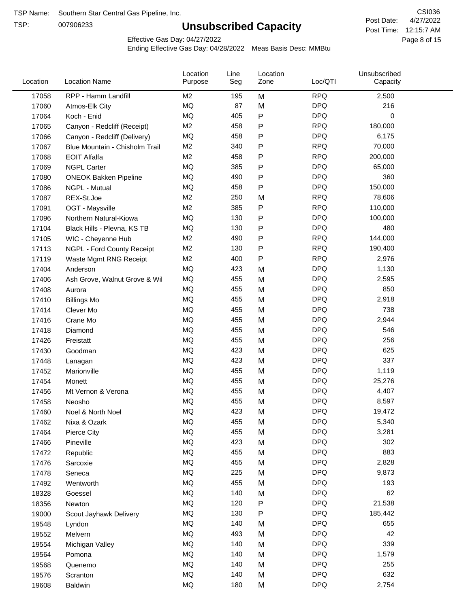TSP:

# **Unsubscribed Capacity**

4/27/2022 Page 8 of 15 Post Time: 12:15:7 AM CSI036 Post Date:

Effective Gas Day: 04/27/2022

| Location | <b>Location Name</b>           | Location<br>Purpose | Line<br>Seg | Location<br>Zone | Loc/QTI    | Unsubscribed<br>Capacity |  |
|----------|--------------------------------|---------------------|-------------|------------------|------------|--------------------------|--|
| 17058    | RPP - Hamm Landfill            | M <sub>2</sub>      | 195         | M                | <b>RPQ</b> | 2,500                    |  |
| 17060    | Atmos-Elk City                 | MQ                  | 87          | M                | <b>DPQ</b> | 216                      |  |
| 17064    | Koch - Enid                    | MQ                  | 405         | P                | <b>DPQ</b> | 0                        |  |
| 17065    | Canyon - Redcliff (Receipt)    | M <sub>2</sub>      | 458         | P                | <b>RPQ</b> | 180,000                  |  |
| 17066    | Canyon - Redcliff (Delivery)   | <b>MQ</b>           | 458         | P                | <b>DPQ</b> | 6,175                    |  |
| 17067    | Blue Mountain - Chisholm Trail | M2                  | 340         | P                | <b>RPQ</b> | 70,000                   |  |
| 17068    | <b>EOIT Alfalfa</b>            | M <sub>2</sub>      | 458         | Ρ                | <b>RPQ</b> | 200,000                  |  |
| 17069    | <b>NGPL Carter</b>             | <b>MQ</b>           | 385         | P                | <b>DPQ</b> | 65,000                   |  |
| 17080    | <b>ONEOK Bakken Pipeline</b>   | MQ                  | 490         | P                | <b>DPQ</b> | 360                      |  |
| 17086    | NGPL - Mutual                  | <b>MQ</b>           | 458         | P                | <b>DPQ</b> | 150,000                  |  |
| 17087    | REX-St.Joe                     | M2                  | 250         | M                | <b>RPQ</b> | 78,606                   |  |
| 17091    | OGT - Maysville                | M2                  | 385         | P                | <b>RPQ</b> | 110,000                  |  |
| 17096    | Northern Natural-Kiowa         | <b>MQ</b>           | 130         | P                | <b>DPQ</b> | 100,000                  |  |
| 17104    | Black Hills - Plevna, KS TB    | <b>MQ</b>           | 130         | Ρ                | <b>DPQ</b> | 480                      |  |
| 17105    | WIC - Cheyenne Hub             | M2                  | 490         | P                | <b>RPQ</b> | 144,000                  |  |
| 17113    | NGPL - Ford County Receipt     | M <sub>2</sub>      | 130         | P                | <b>RPQ</b> | 190,400                  |  |
| 17119    | Waste Mgmt RNG Receipt         | M2                  | 400         | P                | <b>RPQ</b> | 2,976                    |  |
| 17404    | Anderson                       | MQ                  | 423         | M                | <b>DPQ</b> | 1,130                    |  |
| 17406    | Ash Grove, Walnut Grove & Wil  | <b>MQ</b>           | 455         | M                | <b>DPQ</b> | 2,595                    |  |
| 17408    | Aurora                         | <b>MQ</b>           | 455         | M                | <b>DPQ</b> | 850                      |  |
| 17410    | <b>Billings Mo</b>             | <b>MQ</b>           | 455         | M                | <b>DPQ</b> | 2,918                    |  |
| 17414    | Clever Mo                      | <b>MQ</b>           | 455         | M                | <b>DPQ</b> | 738                      |  |
| 17416    | Crane Mo                       | <b>MQ</b>           | 455         | M                | <b>DPQ</b> | 2,944                    |  |
| 17418    | Diamond                        | <b>MQ</b>           | 455         | M                | <b>DPQ</b> | 546                      |  |
| 17426    | Freistatt                      | <b>MQ</b>           | 455         | M                | <b>DPQ</b> | 256                      |  |
| 17430    | Goodman                        | <b>MQ</b>           | 423         | M                | <b>DPQ</b> | 625                      |  |
| 17448    | Lanagan                        | <b>MQ</b>           | 423         | M                | <b>DPQ</b> | 337                      |  |
| 17452    | Marionville                    | <b>MQ</b>           | 455         | M                | <b>DPQ</b> | 1,119                    |  |
| 17454    | Monett                         | <b>MQ</b>           | 455         | M                | <b>DPQ</b> | 25,276                   |  |
| 17456    | Mt Vernon & Verona             | MQ                  | 455         | M                | <b>DPQ</b> | 4,407                    |  |
| 17458    | Neosho                         | <b>MQ</b>           | 455         | M                | <b>DPQ</b> | 8,597                    |  |
| 17460    | Noel & North Noel              | MQ                  | 423         | M                | <b>DPQ</b> | 19,472                   |  |
| 17462    | Nixa & Ozark                   | MQ                  | 455         | M                | <b>DPQ</b> | 5,340                    |  |
| 17464    | Pierce City                    | $\sf{MQ}$           | 455         | M                | <b>DPQ</b> | 3,281                    |  |
| 17466    | Pineville                      | $\sf{MQ}$           | 423         | M                | <b>DPQ</b> | 302                      |  |
| 17472    | Republic                       | MQ                  | 455         | M                | <b>DPQ</b> | 883                      |  |
| 17476    | Sarcoxie                       | MQ                  | 455         | M                | <b>DPQ</b> | 2,828                    |  |
| 17478    | Seneca                         | MQ                  | 225         | M                | <b>DPQ</b> | 9,873                    |  |
| 17492    | Wentworth                      | MQ                  | 455         | M                | <b>DPQ</b> | 193                      |  |
| 18328    | Goessel                        | MQ                  | 140         | M                | <b>DPQ</b> | 62                       |  |
| 18356    | Newton                         | MQ                  | 120         | P                | <b>DPQ</b> | 21,538                   |  |
| 19000    | Scout Jayhawk Delivery         | MQ                  | 130         | P                | <b>DPQ</b> | 185,442                  |  |
| 19548    | Lyndon                         | MQ                  | 140         | M                | <b>DPQ</b> | 655                      |  |
| 19552    | Melvern                        | MQ                  | 493         | M                | <b>DPQ</b> | 42                       |  |
| 19554    | Michigan Valley                | MQ                  | 140         | M                | <b>DPQ</b> | 339                      |  |
| 19564    | Pomona                         | MQ                  | 140         | M                | <b>DPQ</b> | 1,579                    |  |
| 19568    | Quenemo                        | MQ                  | 140         | M                | <b>DPQ</b> | 255                      |  |
| 19576    | Scranton                       | MQ                  | 140         | M                | <b>DPQ</b> | 632                      |  |
| 19608    | Baldwin                        | $\sf{MQ}$           | 180         | M                | <b>DPQ</b> | 2,754                    |  |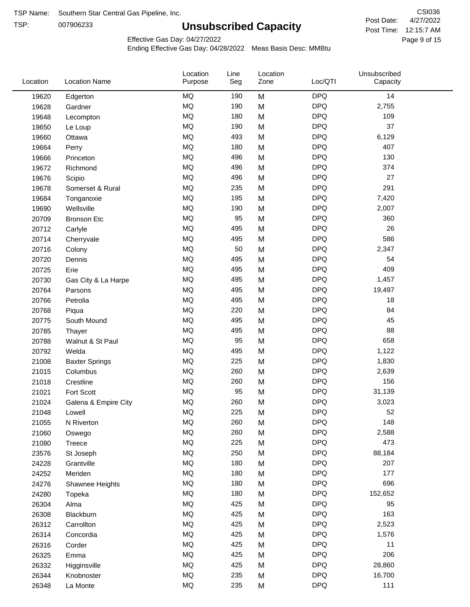TSP:

# **Unsubscribed Capacity**

4/27/2022 Page 9 of 15 Post Time: 12:15:7 AM CSI036 Post Date:

Effective Gas Day: 04/27/2022

| Location | <b>Location Name</b>  | Location<br>Purpose | Line<br>Seg | Location<br>Zone | Loc/QTI    | Unsubscribed<br>Capacity |  |
|----------|-----------------------|---------------------|-------------|------------------|------------|--------------------------|--|
| 19620    | Edgerton              | <b>MQ</b>           | 190         | M                | <b>DPQ</b> | 14                       |  |
| 19628    | Gardner               | MQ                  | 190         | M                | <b>DPQ</b> | 2,755                    |  |
| 19648    | Lecompton             | <b>MQ</b>           | 180         | M                | <b>DPQ</b> | 109                      |  |
| 19650    | Le Loup               | <b>MQ</b>           | 190         | M                | <b>DPQ</b> | 37                       |  |
| 19660    | Ottawa                | <b>MQ</b>           | 493         | M                | <b>DPQ</b> | 6,129                    |  |
| 19664    | Perry                 | <b>MQ</b>           | 180         | M                | <b>DPQ</b> | 407                      |  |
| 19666    | Princeton             | MQ                  | 496         | M                | <b>DPQ</b> | 130                      |  |
| 19672    | Richmond              | MQ                  | 496         | M                | <b>DPQ</b> | 374                      |  |
| 19676    | Scipio                | MQ                  | 496         | M                | <b>DPQ</b> | 27                       |  |
| 19678    | Somerset & Rural      | <b>MQ</b>           | 235         | M                | <b>DPQ</b> | 291                      |  |
| 19684    | Tonganoxie            | MQ                  | 195         | M                | <b>DPQ</b> | 7,420                    |  |
| 19690    | Wellsville            | <b>MQ</b>           | 190         | M                | <b>DPQ</b> | 2,007                    |  |
| 20709    | <b>Bronson Etc</b>    | <b>MQ</b>           | 95          | M                | <b>DPQ</b> | 360                      |  |
| 20712    | Carlyle               | <b>MQ</b>           | 495         | M                | <b>DPQ</b> | 26                       |  |
| 20714    | Cherryvale            | MQ                  | 495         | M                | <b>DPQ</b> | 586                      |  |
| 20716    | Colony                | MQ                  | 50          | M                | <b>DPQ</b> | 2,347                    |  |
| 20720    | Dennis                | MQ                  | 495         | M                | <b>DPQ</b> | 54                       |  |
| 20725    | Erie                  | <b>MQ</b>           | 495         | M                | <b>DPQ</b> | 409                      |  |
| 20730    | Gas City & La Harpe   | <b>MQ</b>           | 495         | M                | <b>DPQ</b> | 1,457                    |  |
| 20764    | Parsons               | MQ                  | 495         | M                | <b>DPQ</b> | 19,497                   |  |
| 20766    | Petrolia              | <b>MQ</b>           | 495         | M                | <b>DPQ</b> | 18                       |  |
| 20768    | Piqua                 | <b>MQ</b>           | 220         | M                | <b>DPQ</b> | 84                       |  |
| 20775    | South Mound           | <b>MQ</b>           | 495         | M                | <b>DPQ</b> | 45                       |  |
| 20785    | Thayer                | MQ                  | 495         | M                | <b>DPQ</b> | 88                       |  |
| 20788    | Walnut & St Paul      | MQ                  | 95          | M                | <b>DPQ</b> | 658                      |  |
| 20792    | Welda                 | MQ                  | 495         | M                | <b>DPQ</b> | 1,122                    |  |
| 21008    | <b>Baxter Springs</b> | <b>MQ</b>           | 225         | M                | <b>DPQ</b> | 1,830                    |  |
| 21015    | Columbus              | <b>MQ</b>           | 260         | M                | <b>DPQ</b> | 2,639                    |  |
| 21018    | Crestline             | <b>MQ</b>           | 260         | M                | <b>DPQ</b> | 156                      |  |
| 21021    | Fort Scott            | <b>MQ</b>           | 95          | M                | <b>DPQ</b> | 31,139                   |  |
| 21024    | Galena & Empire City  | <b>MQ</b>           | 260         | M                | <b>DPQ</b> | 3,023                    |  |
| 21048    | Lowell                | MQ                  | 225         | M                | <b>DPQ</b> | 52                       |  |
| 21055    | N Riverton            | MQ                  | 260         | M                | <b>DPQ</b> | 148                      |  |
| 21060    | Oswego                | $\sf{MQ}$           | 260         | M                | <b>DPQ</b> | 2,588                    |  |
| 21080    | Treece                | $\sf{MQ}$           | 225         | M                | <b>DPQ</b> | 473                      |  |
| 23576    | St Joseph             | MQ                  | 250         | M                | <b>DPQ</b> | 88,184                   |  |
| 24228    | Grantville            | MQ                  | 180         | M                | <b>DPQ</b> | 207                      |  |
| 24252    | Meriden               | MQ                  | 180         | M                | <b>DPQ</b> | 177                      |  |
| 24276    | Shawnee Heights       | $\sf{MQ}$           | 180         | M                | <b>DPQ</b> | 696                      |  |
| 24280    | Topeka                | $\sf{MQ}$           | 180         | M                | <b>DPQ</b> | 152,652                  |  |
| 26304    | Alma                  | MQ                  | 425         | M                | <b>DPQ</b> | 95                       |  |
| 26308    | Blackburn             | MQ                  | 425         | M                | <b>DPQ</b> | 163                      |  |
| 26312    | Carrollton            | MQ                  | 425         | M                | <b>DPQ</b> | 2,523                    |  |
| 26314    | Concordia             | <b>MQ</b>           | 425         | M                | <b>DPQ</b> | 1,576                    |  |
| 26316    | Corder                | $\sf{MQ}$           | 425         | M                | <b>DPQ</b> | 11                       |  |
| 26325    | Emma                  | MQ                  | 425         | M                | <b>DPQ</b> | 206                      |  |
| 26332    | Higginsville          | MQ                  | 425         | M                | <b>DPQ</b> | 28,860                   |  |
| 26344    | Knobnoster            | $\sf{MQ}$           | 235         | M                | <b>DPQ</b> | 16,700                   |  |
| 26348    | La Monte              | $\sf{MQ}$           | 235         | M                | <b>DPQ</b> | 111                      |  |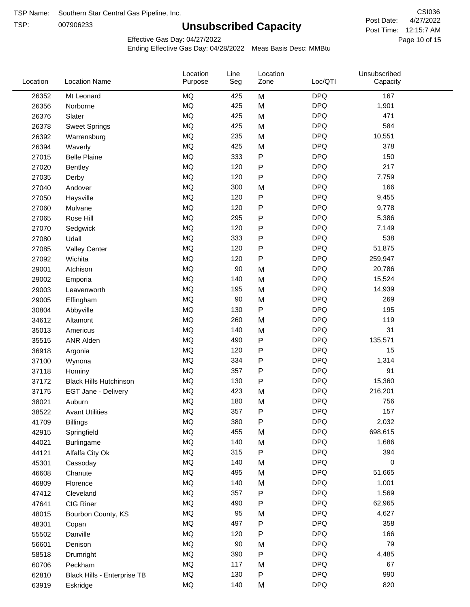TSP:

# **Unsubscribed Capacity**

4/27/2022 Page 10 of 15 Post Time: 12:15:7 AM CSI036 Post Date:

Effective Gas Day: 04/27/2022

| Location | <b>Location Name</b>          | Location<br>Purpose | Line<br>Seg | Location<br>Zone | Loc/QTI    | Unsubscribed<br>Capacity |  |
|----------|-------------------------------|---------------------|-------------|------------------|------------|--------------------------|--|
| 26352    | Mt Leonard                    | <b>MQ</b>           | 425         | M                | <b>DPQ</b> | 167                      |  |
| 26356    | Norborne                      | <b>MQ</b>           | 425         | M                | <b>DPQ</b> | 1,901                    |  |
| 26376    | Slater                        | <b>MQ</b>           | 425         | M                | <b>DPQ</b> | 471                      |  |
| 26378    | <b>Sweet Springs</b>          | <b>MQ</b>           | 425         | M                | <b>DPQ</b> | 584                      |  |
| 26392    | Warrensburg                   | <b>MQ</b>           | 235         | M                | <b>DPQ</b> | 10,551                   |  |
| 26394    | Waverly                       | <b>MQ</b>           | 425         | M                | <b>DPQ</b> | 378                      |  |
| 27015    | <b>Belle Plaine</b>           | <b>MQ</b>           | 333         | P                | <b>DPQ</b> | 150                      |  |
| 27020    | Bentley                       | <b>MQ</b>           | 120         | P                | <b>DPQ</b> | 217                      |  |
| 27035    | Derby                         | <b>MQ</b>           | 120         | Ρ                | <b>DPQ</b> | 7,759                    |  |
| 27040    | Andover                       | <b>MQ</b>           | 300         | M                | <b>DPQ</b> | 166                      |  |
| 27050    | Haysville                     | <b>MQ</b>           | 120         | P                | <b>DPQ</b> | 9,455                    |  |
| 27060    | Mulvane                       | <b>MQ</b>           | 120         | P                | <b>DPQ</b> | 9,778                    |  |
| 27065    | Rose Hill                     | <b>MQ</b>           | 295         | P                | <b>DPQ</b> | 5,386                    |  |
| 27070    | Sedgwick                      | <b>MQ</b>           | 120         | Ρ                | <b>DPQ</b> | 7,149                    |  |
| 27080    | Udall                         | <b>MQ</b>           | 333         | P                | <b>DPQ</b> | 538                      |  |
| 27085    | <b>Valley Center</b>          | <b>MQ</b>           | 120         | P                | <b>DPQ</b> | 51,875                   |  |
| 27092    | Wichita                       | <b>MQ</b>           | 120         | P                | <b>DPQ</b> | 259,947                  |  |
| 29001    | Atchison                      | <b>MQ</b>           | 90          | M                | <b>DPQ</b> | 20,786                   |  |
| 29002    | Emporia                       | <b>MQ</b>           | 140         | M                | <b>DPQ</b> | 15,524                   |  |
| 29003    | Leavenworth                   | <b>MQ</b>           | 195         | M                | <b>DPQ</b> | 14,939                   |  |
| 29005    | Effingham                     | <b>MQ</b>           | 90          | M                | <b>DPQ</b> | 269                      |  |
| 30804    | Abbyville                     | <b>MQ</b>           | 130         | P                | <b>DPQ</b> | 195                      |  |
| 34612    | Altamont                      | <b>MQ</b>           | 260         | M                | <b>DPQ</b> | 119                      |  |
| 35013    | Americus                      | <b>MQ</b>           | 140         | M                | <b>DPQ</b> | 31                       |  |
| 35515    | ANR Alden                     | <b>MQ</b>           | 490         | P                | <b>DPQ</b> | 135,571                  |  |
| 36918    | Argonia                       | <b>MQ</b>           | 120         | P                | <b>DPQ</b> | 15                       |  |
| 37100    | Wynona                        | <b>MQ</b>           | 334         | Ρ                | <b>DPQ</b> | 1,314                    |  |
| 37118    | Hominy                        | <b>MQ</b>           | 357         | Ρ                | <b>DPQ</b> | 91                       |  |
| 37172    | <b>Black Hills Hutchinson</b> | <b>MQ</b>           | 130         | P                | <b>DPQ</b> | 15,360                   |  |
| 37175    | EGT Jane - Delivery           | <b>MQ</b>           | 423         | M                | <b>DPQ</b> | 216,201                  |  |
| 38021    | Auburn                        | MQ                  | 180         | M                | <b>DPQ</b> | 756                      |  |
| 38522    | <b>Avant Utilities</b>        | MQ                  | 357         | P                | <b>DPQ</b> | 157                      |  |
| 41709    | <b>Billings</b>               | MQ                  | 380         | Ρ                | <b>DPQ</b> | 2,032                    |  |
| 42915    | Springfield                   | <b>MQ</b>           | 455         | M                | <b>DPQ</b> | 698,615                  |  |
| 44021    | Burlingame                    | <b>MQ</b>           | 140         | M                | <b>DPQ</b> | 1,686                    |  |
| 44121    | Alfalfa City Ok               | <b>MQ</b>           | 315         | P                | <b>DPQ</b> | 394                      |  |
| 45301    | Cassoday                      | MQ                  | 140         | M                | <b>DPQ</b> | 0                        |  |
| 46608    | Chanute                       | <b>MQ</b>           | 495         | M                | <b>DPQ</b> | 51,665                   |  |
| 46809    | Florence                      | MQ                  | 140         | M                | <b>DPQ</b> | 1,001                    |  |
| 47412    | Cleveland                     | <b>MQ</b>           | 357         | Ρ                | <b>DPQ</b> | 1,569                    |  |
| 47641    | CIG Riner                     | <b>MQ</b>           | 490         | Ρ                | <b>DPQ</b> | 62,965                   |  |
| 48015    | Bourbon County, KS            | MQ                  | 95          | M                | <b>DPQ</b> | 4,627                    |  |
| 48301    | Copan                         | $\sf{MQ}$           | 497         | P                | <b>DPQ</b> | 358                      |  |
| 55502    | Danville                      | <b>MQ</b>           | 120         | Ρ                | <b>DPQ</b> | 166                      |  |
| 56601    | Denison                       | <b>MQ</b>           | $90\,$      | M                | <b>DPQ</b> | 79                       |  |
| 58518    | Drumright                     | MQ                  | 390         | Ρ                | <b>DPQ</b> | 4,485                    |  |
| 60706    | Peckham                       | MQ                  | 117         | M                | <b>DPQ</b> | 67                       |  |
| 62810    | Black Hills - Enterprise TB   | MQ                  | 130         | P                | <b>DPQ</b> | 990                      |  |
| 63919    | Eskridge                      | <b>MQ</b>           | 140         | M                | <b>DPQ</b> | 820                      |  |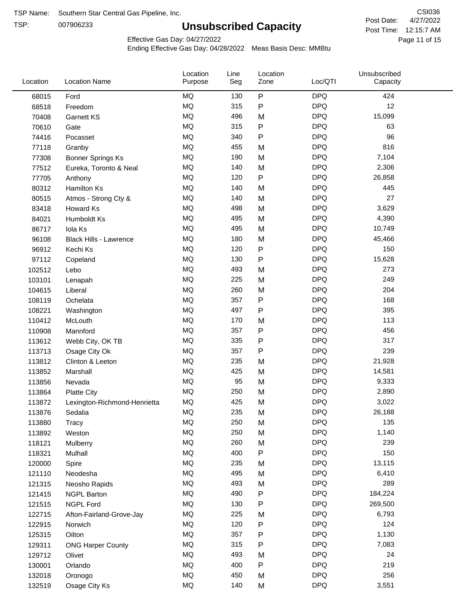TSP:

# **Unsubscribed Capacity**

4/27/2022 Page 11 of 15 Post Time: 12:15:7 AM CSI036 Post Date:

Unsubscribed

Effective Gas Day: 04/27/2022

Location

Ending Effective Gas Day: 04/28/2022 Meas Basis Desc: MMBtu

Line

Location

| Location | <b>Location Name</b>         | Purpose | Seg | Zone      | Loc/QTI    | Capacity |  |
|----------|------------------------------|---------|-----|-----------|------------|----------|--|
| 68015    | Ford                         | MQ      | 130 | $\sf P$   | <b>DPQ</b> | 424      |  |
| 68518    | Freedom                      | MQ      | 315 | P         | <b>DPQ</b> | 12       |  |
| 70408    | <b>Garnett KS</b>            | MQ      | 496 | M         | <b>DPQ</b> | 15,099   |  |
| 70610    | Gate                         | MQ      | 315 | P         | <b>DPQ</b> | 63       |  |
| 74416    | Pocasset                     | MQ      | 340 | P         | <b>DPQ</b> | 96       |  |
| 77118    | Granby                       | MQ      | 455 | M         | <b>DPQ</b> | 816      |  |
| 77308    | <b>Bonner Springs Ks</b>     | MQ      | 190 | M         | <b>DPQ</b> | 7,104    |  |
| 77512    | Eureka, Toronto & Neal       | MQ      | 140 | M         | <b>DPQ</b> | 2,306    |  |
| 77705    | Anthony                      | MQ      | 120 | ${\sf P}$ | <b>DPQ</b> | 26,858   |  |
| 80312    | Hamilton Ks                  | MQ      | 140 | M         | <b>DPQ</b> | 445      |  |
| 80515    | Atmos - Strong Cty &         | MQ      | 140 | M         | <b>DPQ</b> | 27       |  |
| 83418    | Howard Ks                    | MQ      | 498 | M         | <b>DPQ</b> | 3,629    |  |
| 84021    | Humboldt Ks                  | MQ      | 495 | M         | <b>DPQ</b> | 4,390    |  |
| 86717    | Iola Ks                      | MQ      | 495 | M         | <b>DPQ</b> | 10,749   |  |
| 96108    | Black Hills - Lawrence       | MQ      | 180 | M         | <b>DPQ</b> | 45,466   |  |
| 96912    | Kechi Ks                     | MQ      | 120 | P         | <b>DPQ</b> | 150      |  |
| 97112    | Copeland                     | MQ      | 130 | P         | <b>DPQ</b> | 15,628   |  |
| 102512   | Lebo                         | MQ      | 493 | M         | <b>DPQ</b> | 273      |  |
| 103101   | Lenapah                      | MQ      | 225 | M         | <b>DPQ</b> | 249      |  |
| 104615   | Liberal                      | MQ      | 260 | M         | <b>DPQ</b> | 204      |  |
| 108119   | Ochelata                     | MQ      | 357 | P         | <b>DPQ</b> | 168      |  |
| 108221   | Washington                   | MQ      | 497 | P         | <b>DPQ</b> | 395      |  |
| 110412   | McLouth                      | MQ      | 170 | M         | <b>DPQ</b> | 113      |  |
| 110908   | Mannford                     | MQ      | 357 | P         | <b>DPQ</b> | 456      |  |
| 113612   | Webb City, OK TB             | MQ      | 335 | P         | <b>DPQ</b> | 317      |  |
| 113713   | Osage City Ok                | MQ      | 357 | P         | <b>DPQ</b> | 239      |  |
| 113812   | Clinton & Leeton             | MQ      | 235 | M         | <b>DPQ</b> | 21,928   |  |
| 113852   | Marshall                     | MQ      | 425 | M         | <b>DPQ</b> | 14,581   |  |
| 113856   | Nevada                       | MQ      | 95  | M         | <b>DPQ</b> | 9,333    |  |
| 113864   | <b>Platte City</b>           | MQ      | 250 | M         | <b>DPQ</b> | 2,890    |  |
| 113872   | Lexington-Richmond-Henrietta | MQ      | 425 | M         | <b>DPQ</b> | 3,022    |  |
| 113876   | Sedalia                      | MQ      | 235 | M         | <b>DPQ</b> | 26,188   |  |
| 113880   | Tracy                        | MQ      | 250 | M         | <b>DPQ</b> | 135      |  |
| 113892   | Weston                       | MQ      | 250 | M         | <b>DPQ</b> | 1,140    |  |
| 118121   | Mulberry                     | MQ      | 260 | M         | <b>DPQ</b> | 239      |  |
| 118321   | Mulhall                      | MQ      | 400 | Ρ         | <b>DPQ</b> | 150      |  |
| 120000   | Spire                        | MQ      | 235 | M         | <b>DPQ</b> | 13,115   |  |
| 121110   | Neodesha                     | MQ      | 495 | M         | <b>DPQ</b> | 6,410    |  |
| 121315   | Neosho Rapids                | MQ      | 493 | M         | <b>DPQ</b> | 289      |  |
| 121415   | <b>NGPL Barton</b>           | MQ      | 490 | Ρ         | <b>DPQ</b> | 184,224  |  |
| 121515   | <b>NGPL Ford</b>             | MQ      | 130 | Ρ         | <b>DPQ</b> | 269,500  |  |
| 122715   | Afton-Fairland-Grove-Jay     | MQ      | 225 | M         | <b>DPQ</b> | 6,793    |  |
| 122915   | Norwich                      | MQ      | 120 | P         | <b>DPQ</b> | 124      |  |
| 125315   | Oilton                       | MQ      | 357 | ${\sf P}$ | <b>DPQ</b> | 1,130    |  |
| 129311   | <b>ONG Harper County</b>     | MQ      | 315 | P         | <b>DPQ</b> | 7,083    |  |
| 129712   | Olivet                       | MQ      | 493 | M         | <b>DPQ</b> | 24       |  |
| 130001   | Orlando                      | MQ      | 400 | ${\sf P}$ | <b>DPQ</b> | 219      |  |
| 132018   | Oronogo                      | MQ      | 450 | M         | <b>DPQ</b> | 256      |  |
| 132519   | Osage City Ks                | MQ      | 140 | M         | <b>DPQ</b> | 3,551    |  |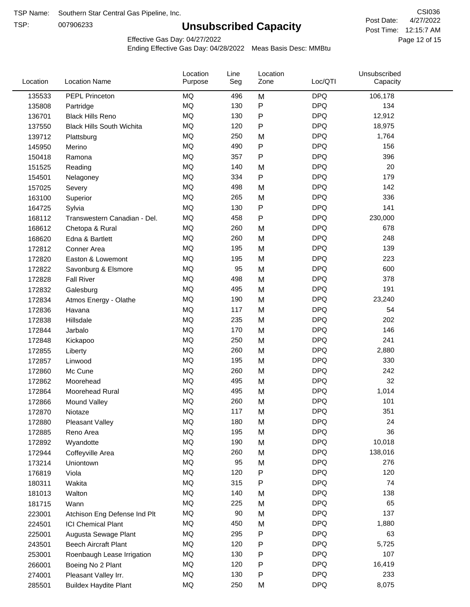TSP:

# **Unsubscribed Capacity**

4/27/2022 Page 12 of 15 Post Time: 12:15:7 AM CSI036 Post Date:

Effective Gas Day: 04/27/2022

| Location | <b>Location Name</b>             | Location<br>Purpose | Line<br>Seg | Location<br>Zone | Loc/QTI    | Unsubscribed<br>Capacity |  |
|----------|----------------------------------|---------------------|-------------|------------------|------------|--------------------------|--|
| 135533   | PEPL Princeton                   | MQ                  | 496         | M                | <b>DPQ</b> | 106,178                  |  |
| 135808   | Partridge                        | MQ                  | 130         | P                | <b>DPQ</b> | 134                      |  |
| 136701   | <b>Black Hills Reno</b>          | MQ                  | 130         | P                | <b>DPQ</b> | 12,912                   |  |
| 137550   | <b>Black Hills South Wichita</b> | MQ                  | 120         | P                | <b>DPQ</b> | 18,975                   |  |
| 139712   | Plattsburg                       | <b>MQ</b>           | 250         | M                | <b>DPQ</b> | 1,764                    |  |
| 145950   | Merino                           | <b>MQ</b>           | 490         | P                | <b>DPQ</b> | 156                      |  |
| 150418   | Ramona                           | <b>MQ</b>           | 357         | Ρ                | <b>DPQ</b> | 396                      |  |
| 151525   | Reading                          | <b>MQ</b>           | 140         | M                | <b>DPQ</b> | 20                       |  |
| 154501   | Nelagoney                        | <b>MQ</b>           | 334         | P                | <b>DPQ</b> | 179                      |  |
| 157025   | Severy                           | <b>MQ</b>           | 498         | M                | <b>DPQ</b> | 142                      |  |
| 163100   | Superior                         | MQ                  | 265         | M                | <b>DPQ</b> | 336                      |  |
| 164725   | Sylvia                           | MQ                  | 130         | P                | <b>DPQ</b> | 141                      |  |
| 168112   | Transwestern Canadian - Del.     | <b>MQ</b>           | 458         | P                | <b>DPQ</b> | 230,000                  |  |
| 168612   | Chetopa & Rural                  | <b>MQ</b>           | 260         | M                | <b>DPQ</b> | 678                      |  |
| 168620   | Edna & Bartlett                  | <b>MQ</b>           | 260         | M                | <b>DPQ</b> | 248                      |  |
| 172812   | Conner Area                      | <b>MQ</b>           | 195         | M                | <b>DPQ</b> | 139                      |  |
| 172820   | Easton & Lowemont                | MQ                  | 195         | M                | <b>DPQ</b> | 223                      |  |
| 172822   | Savonburg & Elsmore              | MQ                  | 95          | M                | <b>DPQ</b> | 600                      |  |
| 172828   | <b>Fall River</b>                | <b>MQ</b>           | 498         | M                | <b>DPQ</b> | 378                      |  |
| 172832   | Galesburg                        | MQ                  | 495         | M                | <b>DPQ</b> | 191                      |  |
| 172834   | Atmos Energy - Olathe            | MQ                  | 190         | M                | <b>DPQ</b> | 23,240                   |  |
| 172836   | Havana                           | <b>MQ</b>           | 117         | M                | <b>DPQ</b> | 54                       |  |
| 172838   | Hillsdale                        | <b>MQ</b>           | 235         | M                | <b>DPQ</b> | 202                      |  |
| 172844   | Jarbalo                          | <b>MQ</b>           | 170         | M                | <b>DPQ</b> | 146                      |  |
| 172848   | Kickapoo                         | <b>MQ</b>           | 250         | M                | <b>DPQ</b> | 241                      |  |
| 172855   | Liberty                          | MQ                  | 260         | M                | <b>DPQ</b> | 2,880                    |  |
| 172857   | Linwood                          | <b>MQ</b>           | 195         | M                | <b>DPQ</b> | 330                      |  |
| 172860   | Mc Cune                          | <b>MQ</b>           | 260         | M                | <b>DPQ</b> | 242                      |  |
| 172862   | Moorehead                        | <b>MQ</b>           | 495         | M                | <b>DPQ</b> | 32                       |  |
| 172864   | Moorehead Rural                  | MQ                  | 495         | M                | <b>DPQ</b> | 1,014                    |  |
| 172866   | Mound Valley                     | <b>MQ</b>           | 260         | M                | <b>DPQ</b> | 101                      |  |
| 172870   | Niotaze                          | MQ                  | 117         | M                | <b>DPQ</b> | 351                      |  |
| 172880   | <b>Pleasant Valley</b>           | MQ                  | 180         | M                | <b>DPQ</b> | 24                       |  |
| 172885   | Reno Area                        | $\sf{MQ}$           | 195         | M                | <b>DPQ</b> | 36                       |  |
| 172892   | Wyandotte                        | MQ                  | 190         | M                | <b>DPQ</b> | 10,018                   |  |
| 172944   | Coffeyville Area                 | MQ                  | 260         | M                | <b>DPQ</b> | 138,016                  |  |
| 173214   | Uniontown                        | MQ                  | 95          | M                | <b>DPQ</b> | 276                      |  |
| 176819   | Viola                            | MQ                  | 120         | P                | <b>DPQ</b> | 120                      |  |
| 180311   | Wakita                           | MQ                  | 315         | P                | <b>DPQ</b> | 74                       |  |
| 181013   | Walton                           | MQ                  | 140         | M                | <b>DPQ</b> | 138                      |  |
| 181715   | Wann                             | MQ                  | 225         | M                | <b>DPQ</b> | 65                       |  |
| 223001   | Atchison Eng Defense Ind Plt     | MQ                  | 90          | M                | <b>DPQ</b> | 137                      |  |
| 224501   | <b>ICI Chemical Plant</b>        | MQ                  | 450         | M                | <b>DPQ</b> | 1,880                    |  |
| 225001   | Augusta Sewage Plant             | MQ                  | 295         | P                | <b>DPQ</b> | 63                       |  |
| 243501   | <b>Beech Aircraft Plant</b>      | MQ                  | 120         | P                | <b>DPQ</b> | 5,725                    |  |
| 253001   | Roenbaugh Lease Irrigation       | MQ                  | 130         | P                | <b>DPQ</b> | 107                      |  |
| 266001   | Boeing No 2 Plant                | MQ                  | 120         | P                | <b>DPQ</b> | 16,419                   |  |
| 274001   | Pleasant Valley Irr.             | MQ                  | 130         | P                | <b>DPQ</b> | 233                      |  |
| 285501   | <b>Buildex Haydite Plant</b>     | MQ                  | 250         | M                | <b>DPQ</b> | 8,075                    |  |
|          |                                  |                     |             |                  |            |                          |  |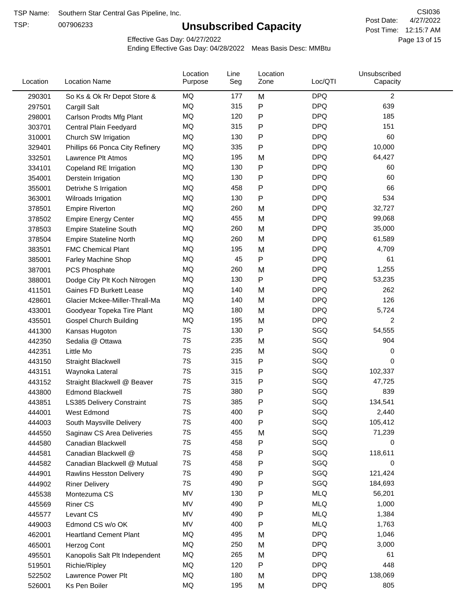TSP:

# **Unsubscribed Capacity**

4/27/2022 Page 13 of 15 Post Time: 12:15:7 AM CSI036 Post Date:

Effective Gas Day: 04/27/2022

| Location | <b>Location Name</b>             | Location<br>Purpose | Line<br>Seg | Location<br>Zone | Loc/QTI    | Unsubscribed<br>Capacity |  |
|----------|----------------------------------|---------------------|-------------|------------------|------------|--------------------------|--|
| 290301   | So Ks & Ok Rr Depot Store &      | MQ                  | 177         | M                | <b>DPQ</b> | $\overline{c}$           |  |
| 297501   | Cargill Salt                     | <b>MQ</b>           | 315         | Ρ                | <b>DPQ</b> | 639                      |  |
| 298001   | Carlson Prodts Mfg Plant         | MQ                  | 120         | P                | <b>DPQ</b> | 185                      |  |
| 303701   | Central Plain Feedyard           | <b>MQ</b>           | 315         | P                | <b>DPQ</b> | 151                      |  |
| 310001   | Church SW Irrigation             | <b>MQ</b>           | 130         | P                | <b>DPQ</b> | 60                       |  |
| 329401   | Phillips 66 Ponca City Refinery  | MQ                  | 335         | P                | <b>DPQ</b> | 10,000                   |  |
| 332501   | Lawrence Plt Atmos               | MQ                  | 195         | M                | <b>DPQ</b> | 64,427                   |  |
| 334101   | Copeland RE Irrigation           | MQ                  | 130         | P                | <b>DPQ</b> | 60                       |  |
| 354001   | Derstein Irrigation              | MQ                  | 130         | P                | <b>DPQ</b> | 60                       |  |
| 355001   | Detrixhe S Irrigation            | MQ                  | 458         | P                | <b>DPQ</b> | 66                       |  |
| 363001   | Wilroads Irrigation              | MQ                  | 130         | P                | <b>DPQ</b> | 534                      |  |
| 378501   | <b>Empire Riverton</b>           | MQ                  | 260         | M                | <b>DPQ</b> | 32,727                   |  |
| 378502   | <b>Empire Energy Center</b>      | MQ                  | 455         | M                | <b>DPQ</b> | 99,068                   |  |
| 378503   | <b>Empire Stateline South</b>    | MQ                  | 260         | M                | <b>DPQ</b> | 35,000                   |  |
| 378504   | <b>Empire Stateline North</b>    | MQ                  | 260         | M                | <b>DPQ</b> | 61,589                   |  |
| 383501   | <b>FMC Chemical Plant</b>        | MQ                  | 195         | M                | <b>DPQ</b> | 4,709                    |  |
| 385001   | Farley Machine Shop              | MQ                  | 45          | P                | <b>DPQ</b> | 61                       |  |
| 387001   | <b>PCS Phosphate</b>             | <b>MQ</b>           | 260         | M                | <b>DPQ</b> | 1,255                    |  |
| 388001   | Dodge City Plt Koch Nitrogen     | MQ                  | 130         | P                | <b>DPQ</b> | 53,235                   |  |
| 411501   | Gaines FD Burkett Lease          | MQ                  | 140         | M                | <b>DPQ</b> | 262                      |  |
| 428601   | Glacier Mckee-Miller-Thrall-Ma   | MQ                  | 140         | M                | <b>DPQ</b> | 126                      |  |
| 433001   | Goodyear Topeka Tire Plant       | MQ                  | 180         | M                | <b>DPQ</b> | 5,724                    |  |
| 435501   | <b>Gospel Church Building</b>    | MQ                  | 195         | M                | <b>DPQ</b> | 2                        |  |
| 441300   | Kansas Hugoton                   | 7S                  | 130         | P                | SGQ        | 54,555                   |  |
| 442350   | Sedalia @ Ottawa                 | 7S                  | 235         | M                | SGQ        | 904                      |  |
| 442351   | Little Mo                        | 7S                  | 235         | M                | SGQ        | 0                        |  |
| 443150   | <b>Straight Blackwell</b>        | 7S                  | 315         | P                | SGQ        | 0                        |  |
| 443151   | Waynoka Lateral                  | 7S                  | 315         | P                | SGQ        | 102,337                  |  |
| 443152   | Straight Blackwell @ Beaver      | 7S                  | 315         | P                | SGQ        | 47,725                   |  |
| 443800   | <b>Edmond Blackwell</b>          | 7S                  | 380         | Ρ                | SGQ        | 839                      |  |
| 443851   | <b>LS385 Delivery Constraint</b> | 7S                  | 385         | Ρ                | SGQ        | 134,541                  |  |
| 444001   | West Edmond                      | 7S                  | 400         | P                | SGQ        | 2,440                    |  |
| 444003   | South Maysville Delivery         | 7S                  | 400         | P                | SGQ        | 105,412                  |  |
| 444550   | Saginaw CS Area Deliveries       | 7S                  | 455         | M                | SGQ        | 71,239                   |  |
| 444580   | Canadian Blackwell               | 7S                  | 458         | P                | SGQ        | 0                        |  |
| 444581   | Canadian Blackwell @             | 7S                  | 458         | P                | SGQ        | 118,611                  |  |
| 444582   | Canadian Blackwell @ Mutual      | 7S                  | 458         | P                | SGQ        | 0                        |  |
| 444901   | Rawlins Hesston Delivery         | 7S                  | 490         | P                | SGQ        | 121,424                  |  |
| 444902   | <b>Riner Delivery</b>            | 7S                  | 490         | Ρ                | SGQ        | 184,693                  |  |
| 445538   | Montezuma CS                     | MV                  | 130         | Ρ                | <b>MLQ</b> | 56,201                   |  |
| 445569   | <b>Riner CS</b>                  | MV                  | 490         | Ρ                | <b>MLQ</b> | 1,000                    |  |
| 445577   | Levant CS                        | MV                  | 490         | P                | <b>MLQ</b> | 1,384                    |  |
| 449003   | Edmond CS w/o OK                 | MV                  | 400         | P                | <b>MLQ</b> | 1,763                    |  |
| 462001   | <b>Heartland Cement Plant</b>    | MQ                  | 495         | M                | <b>DPQ</b> | 1,046                    |  |
| 465001   | Herzog Cont                      | MQ                  | 250         | M                | <b>DPQ</b> | 3,000                    |  |
| 495501   | Kanopolis Salt Plt Independent   | MQ                  | 265         | M                | <b>DPQ</b> | 61                       |  |
| 519501   | Richie/Ripley                    | MQ                  | 120         | Ρ                | <b>DPQ</b> | 448                      |  |
| 522502   | Lawrence Power Plt               | MQ                  | 180         | M                | <b>DPQ</b> | 138,069                  |  |
| 526001   | Ks Pen Boiler                    | MQ                  | 195         | M                | <b>DPQ</b> | 805                      |  |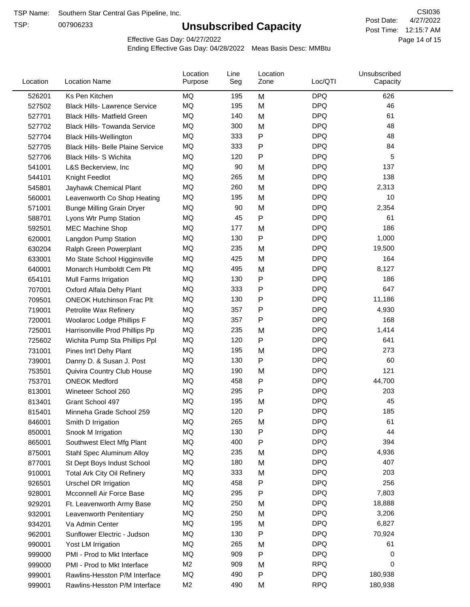TSP:

# **Unsubscribed Capacity**

4/27/2022 Page 14 of 15 Post Time: 12:15:7 AM CSI036 Post Date:

Effective Gas Day: 04/27/2022

| Location | <b>Location Name</b>                     | Location<br>Purpose | Line<br>Seg | Location<br>Zone | Loc/QTI    | Unsubscribed<br>Capacity |  |
|----------|------------------------------------------|---------------------|-------------|------------------|------------|--------------------------|--|
| 526201   | Ks Pen Kitchen                           | ΜQ                  | 195         | M                | <b>DPQ</b> | 626                      |  |
| 527502   | <b>Black Hills- Lawrence Service</b>     | MQ                  | 195         | M                | <b>DPQ</b> | 46                       |  |
| 527701   | <b>Black Hills- Matfield Green</b>       | MQ                  | 140         | M                | <b>DPQ</b> | 61                       |  |
| 527702   | <b>Black Hills- Towanda Service</b>      | MQ                  | 300         | M                | <b>DPQ</b> | 48                       |  |
| 527704   | <b>Black Hills-Wellington</b>            | MQ                  | 333         | Ρ                | <b>DPQ</b> | 48                       |  |
| 527705   | <b>Black Hills- Belle Plaine Service</b> | MQ                  | 333         | Ρ                | <b>DPQ</b> | 84                       |  |
| 527706   | Black Hills- S Wichita                   | <b>MQ</b>           | 120         | P                | <b>DPQ</b> | 5                        |  |
| 541001   | L&S Beckerview, Inc                      | MQ                  | 90          | M                | <b>DPQ</b> | 137                      |  |
| 544101   | Knight Feedlot                           | MQ                  | 265         | M                | <b>DPQ</b> | 138                      |  |
| 545801   | Jayhawk Chemical Plant                   | MQ                  | 260         | M                | <b>DPQ</b> | 2,313                    |  |
| 560001   | Leavenworth Co Shop Heating              | MQ                  | 195         | M                | <b>DPQ</b> | 10                       |  |
| 571001   | <b>Bunge Milling Grain Dryer</b>         | MQ                  | 90          | M                | <b>DPQ</b> | 2,354                    |  |
| 588701   | Lyons Wtr Pump Station                   | MQ                  | 45          | P                | <b>DPQ</b> | 61                       |  |
| 592501   | <b>MEC Machine Shop</b>                  | MQ                  | 177         | M                | <b>DPQ</b> | 186                      |  |
| 620001   | Langdon Pump Station                     | MQ                  | 130         | P                | <b>DPQ</b> | 1,000                    |  |
| 630204   | Ralph Green Powerplant                   | MQ                  | 235         | M                | <b>DPQ</b> | 19,500                   |  |
| 633001   | Mo State School Higginsville             | MQ                  | 425         | M                | <b>DPQ</b> | 164                      |  |
| 640001   | Monarch Humboldt Cem Plt                 | MQ                  | 495         | M                | <b>DPQ</b> | 8,127                    |  |
| 654101   | Mull Farms Irrigation                    | MQ                  | 130         | P                | <b>DPQ</b> | 186                      |  |
| 707001   | Oxford Alfala Dehy Plant                 | MQ                  | 333         | Ρ                | <b>DPQ</b> | 647                      |  |
| 709501   | <b>ONEOK Hutchinson Frac Plt</b>         | MQ                  | 130         | Ρ                | <b>DPQ</b> | 11,186                   |  |
| 719001   | Petrolite Wax Refinery                   | MQ                  | 357         | Ρ                | <b>DPQ</b> | 4,930                    |  |
| 720001   | Woolaroc Lodge Phillips F                | MQ                  | 357         | Ρ                | <b>DPQ</b> | 168                      |  |
| 725001   | Harrisonville Prod Phillips Pp           | MQ                  | 235         | M                | <b>DPQ</b> | 1,414                    |  |
| 725602   | Wichita Pump Sta Phillips Ppl            | MQ                  | 120         | P                | <b>DPQ</b> | 641                      |  |
| 731001   | Pines Int'l Dehy Plant                   | MQ                  | 195         | M                | <b>DPQ</b> | 273                      |  |
| 739001   | Danny D. & Susan J. Post                 | MQ                  | 130         | P                | <b>DPQ</b> | 60                       |  |
| 753501   | Quivira Country Club House               | MQ                  | 190         | M                | <b>DPQ</b> | 121                      |  |
| 753701   | <b>ONEOK Medford</b>                     | MQ                  | 458         | Ρ                | <b>DPQ</b> | 44,700                   |  |
| 813001   | Wineteer School 260                      | MQ                  | 295         | P                | <b>DPQ</b> | 203                      |  |
| 813401   | Grant School 497                         | MQ                  | 195         | M                | <b>DPQ</b> | 45                       |  |
| 815401   | Minneha Grade School 259                 | MQ                  | 120         | P                | <b>DPQ</b> | 185                      |  |
| 846001   | Smith D Irrigation                       | MQ                  | 265         | M                | <b>DPQ</b> | 61                       |  |
| 850001   | Snook M Irrigation                       | MQ                  | 130         | P                | <b>DPQ</b> | 44                       |  |
| 865001   | Southwest Elect Mfg Plant                | MQ                  | 400         | Ρ                | <b>DPQ</b> | 394                      |  |
| 875001   | Stahl Spec Aluminum Alloy                | MQ                  | 235         | M                | <b>DPQ</b> | 4,936                    |  |
| 877001   | St Dept Boys Indust School               | MQ                  | 180         | M                | <b>DPQ</b> | 407                      |  |
| 910001   | <b>Total Ark City Oil Refinery</b>       | MQ                  | 333         | M                | <b>DPQ</b> | 203                      |  |
| 926501   | <b>Urschel DR Irrigation</b>             | MQ                  | 458         | Ρ                | <b>DPQ</b> | 256                      |  |
| 928001   | Mcconnell Air Force Base                 | MQ                  | 295         | Ρ                | <b>DPQ</b> | 7,803                    |  |
| 929201   | Ft. Leavenworth Army Base                | MQ                  | 250         | M                | <b>DPQ</b> | 18,888                   |  |
| 932001   | Leavenworth Penitentiary                 | MQ                  | 250         | M                | <b>DPQ</b> | 3,206                    |  |
| 934201   | Va Admin Center                          | MQ                  | 195         | M                | <b>DPQ</b> | 6,827                    |  |
| 962001   | Sunflower Electric - Judson              | MQ                  | 130         | Ρ                | <b>DPQ</b> | 70,924                   |  |
| 990001   | Yost LM Irrigation                       | MQ                  | 265         | M                | <b>DPQ</b> | 61                       |  |
| 999000   | PMI - Prod to Mkt Interface              | MQ                  | 909         | Ρ                | <b>DPQ</b> | 0                        |  |
| 999000   | PMI - Prod to Mkt Interface              | M <sub>2</sub>      | 909         | M                | <b>RPQ</b> | 0                        |  |
| 999001   | Rawlins-Hesston P/M Interface            | MQ                  | 490         | P                | <b>DPQ</b> | 180,938                  |  |
| 999001   | Rawlins-Hesston P/M Interface            | M <sub>2</sub>      | 490         | M                | <b>RPQ</b> | 180,938                  |  |